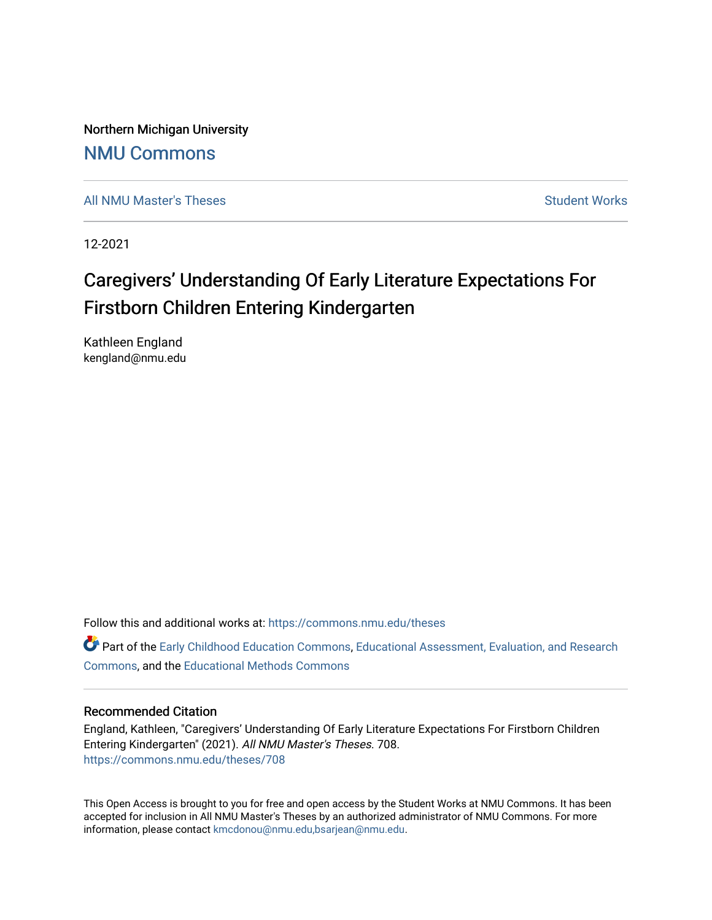Northern Michigan University

# [NMU Commons](https://commons.nmu.edu/)

[All NMU Master's Theses](https://commons.nmu.edu/theses) [Student Works](https://commons.nmu.edu/student_works) Student Works Student Works

12-2021

# Caregivers' Understanding Of Early Literature Expectations For Firstborn Children Entering Kindergarten

Kathleen England kengland@nmu.edu

Follow this and additional works at: [https://commons.nmu.edu/theses](https://commons.nmu.edu/theses?utm_source=commons.nmu.edu%2Ftheses%2F708&utm_medium=PDF&utm_campaign=PDFCoverPages)

Part of the [Early Childhood Education Commons,](http://network.bepress.com/hgg/discipline/1377?utm_source=commons.nmu.edu%2Ftheses%2F708&utm_medium=PDF&utm_campaign=PDFCoverPages) [Educational Assessment, Evaluation, and Research](http://network.bepress.com/hgg/discipline/796?utm_source=commons.nmu.edu%2Ftheses%2F708&utm_medium=PDF&utm_campaign=PDFCoverPages)  [Commons](http://network.bepress.com/hgg/discipline/796?utm_source=commons.nmu.edu%2Ftheses%2F708&utm_medium=PDF&utm_campaign=PDFCoverPages), and the [Educational Methods Commons](http://network.bepress.com/hgg/discipline/1227?utm_source=commons.nmu.edu%2Ftheses%2F708&utm_medium=PDF&utm_campaign=PDFCoverPages) 

## Recommended Citation

England, Kathleen, "Caregivers' Understanding Of Early Literature Expectations For Firstborn Children Entering Kindergarten" (2021). All NMU Master's Theses. 708. [https://commons.nmu.edu/theses/708](https://commons.nmu.edu/theses/708?utm_source=commons.nmu.edu%2Ftheses%2F708&utm_medium=PDF&utm_campaign=PDFCoverPages) 

This Open Access is brought to you for free and open access by the Student Works at NMU Commons. It has been accepted for inclusion in All NMU Master's Theses by an authorized administrator of NMU Commons. For more information, please contact [kmcdonou@nmu.edu,bsarjean@nmu.edu](mailto:kmcdonou@nmu.edu,bsarjean@nmu.edu).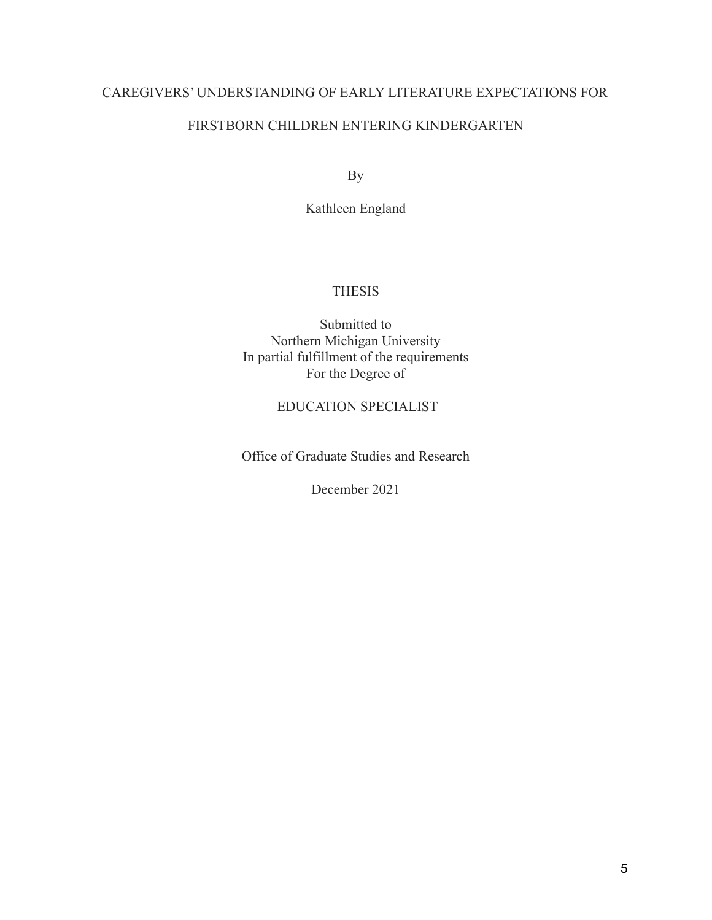# FIRSTBORN CHILDREN ENTERING KINDERGARTEN

By

Kathleen England

# **THESIS**

Submitted to Northern Michigan University In partial fulfillment of the requirements For the Degree of

# EDUCATION SPECIALIST

Office of Graduate Studies and Research

December 2021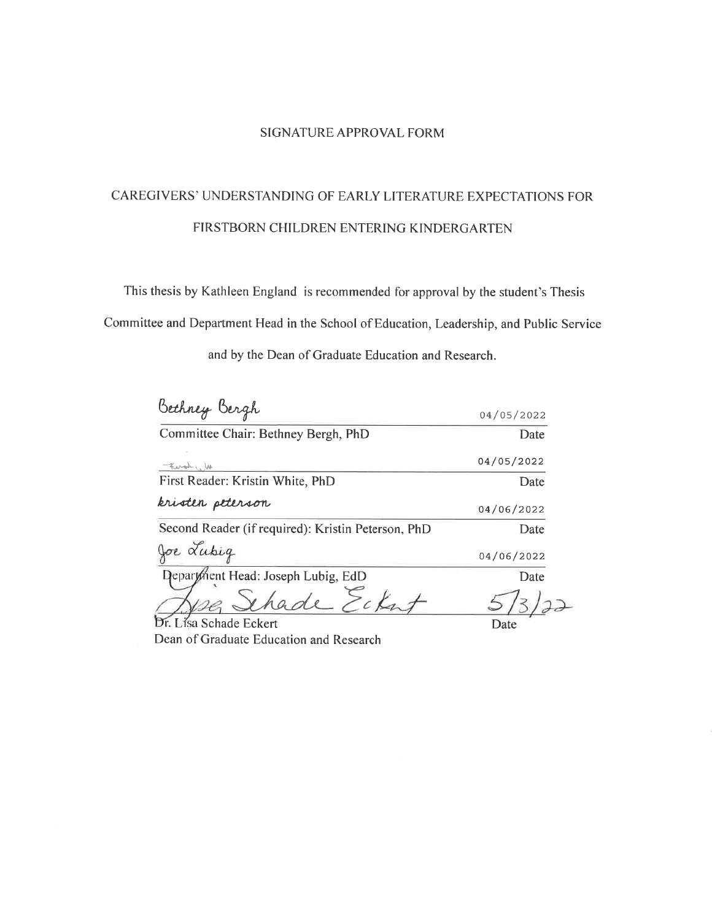#### **SIGNATURE APPROVAL FORM**

# CAREGIVERS' UNDERSTANDING OF EARLY LITERATURE EXPECTATIONS FOR FIRSTBORN CHILDREN ENTERING KINDERGARTEN

This thesis by Kathleen England is recommended for approval by the student's Thesis

Committee and Department Head in the School of Education, Leadership, and Public Service

and by the Dean of Graduate Education and Research.

| Bethney Bergh                                      | 04/05/2022 |
|----------------------------------------------------|------------|
| Committee Chair: Bethney Bergh, PhD                | Date       |
| theral (N                                          | 04/05/2022 |
| First Reader: Kristin White, PhD                   | Date       |
| kristen peterson                                   | 04/06/2022 |
| Second Reader (if required): Kristin Peterson, PhD | Date       |
| re Lubig                                           | 04/06/2022 |
| Department Head: Joseph Lubig, EdD                 | Date       |
| $\vee$ han                                         |            |
| Lísa Schade Eckert                                 | Date       |

Dean of Graduate Education and Research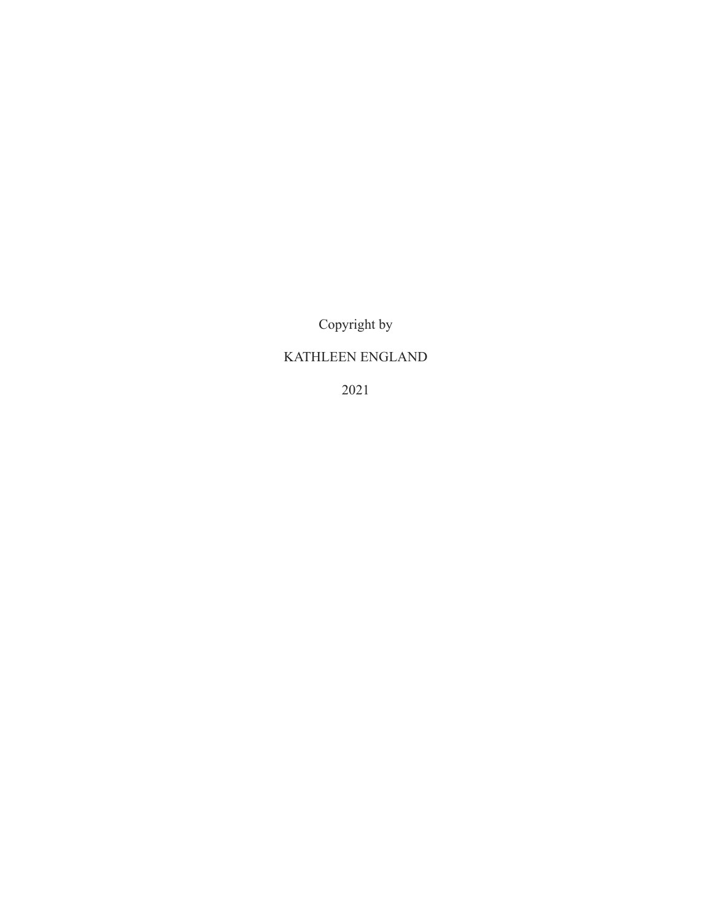Copyright by

# KATHLEEN ENGLAND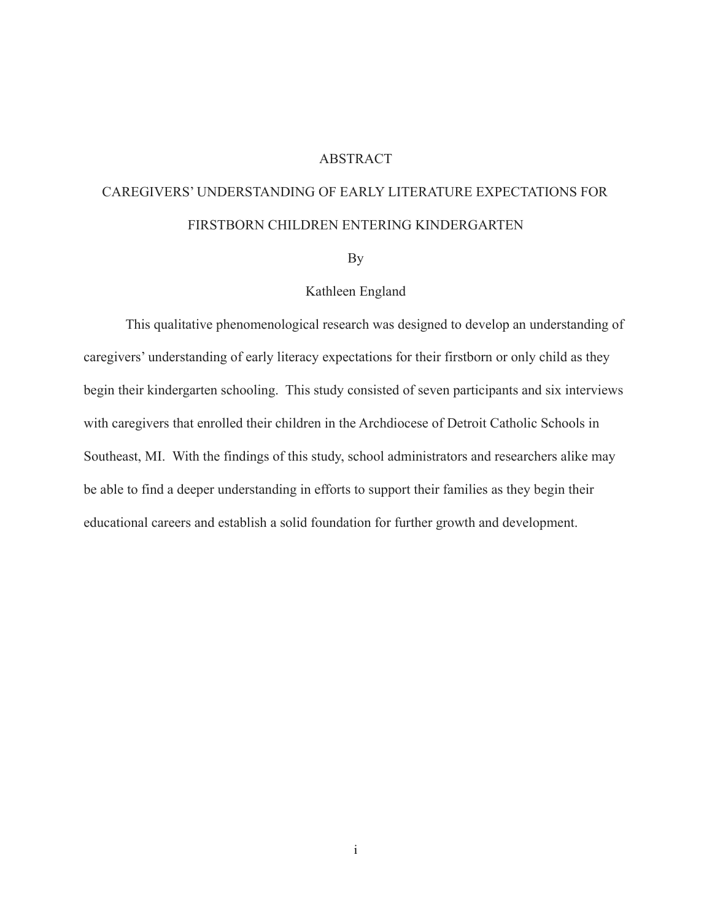#### ABSTRACT

# CAREGIVERS' UNDERSTANDING OF EARLY LITERATURE EXPECTATIONS FOR FIRSTBORN CHILDREN ENTERING KINDERGARTEN

By

#### Kathleen England

This qualitative phenomenological research was designed to develop an understanding of caregivers' understanding of early literacy expectations for their firstborn or only child as they begin their kindergarten schooling. This study consisted of seven participants and six interviews with caregivers that enrolled their children in the Archdiocese of Detroit Catholic Schools in Southeast, MI. With the findings of this study, school administrators and researchers alike may be able to find a deeper understanding in efforts to support their families as they begin their educational careers and establish a solid foundation for further growth and development.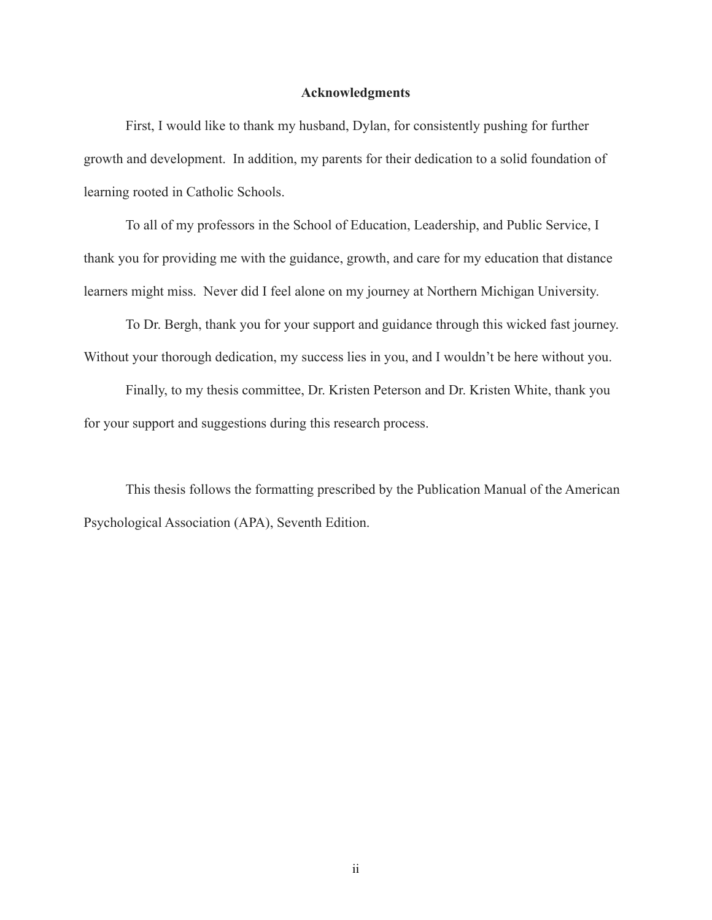#### **Acknowledgments**

First, I would like to thank my husband, Dylan, for consistently pushing for further growth and development. In addition, my parents for their dedication to a solid foundation of learning rooted in Catholic Schools.

To all of my professors in the School of Education, Leadership, and Public Service, I thank you for providing me with the guidance, growth, and care for my education that distance learners might miss. Never did I feel alone on my journey at Northern Michigan University.

To Dr. Bergh, thank you for your support and guidance through this wicked fast journey. Without your thorough dedication, my success lies in you, and I wouldn't be here without you.

Finally, to my thesis committee, Dr. Kristen Peterson and Dr. Kristen White, thank you for your support and suggestions during this research process.

This thesis follows the formatting prescribed by the Publication Manual of the American Psychological Association (APA), Seventh Edition.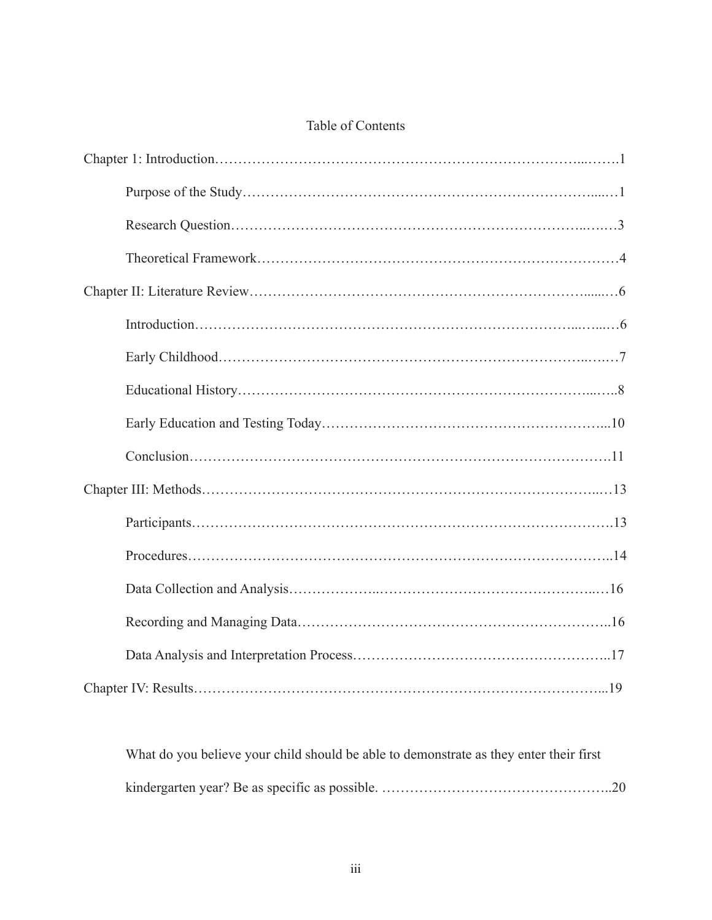# Table of Contents

What do you believe your child should be able to demonstrate as they enter their first kindergarten year? Be as specific as possible. …………………………………………..20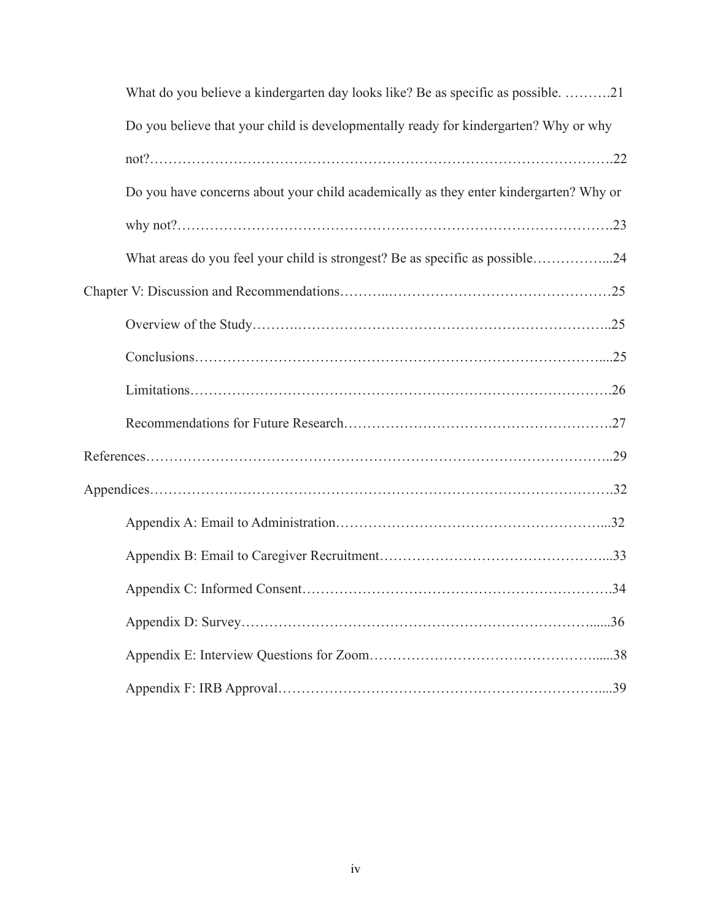| What do you believe a kindergarten day looks like? Be as specific as possible. 21     |
|---------------------------------------------------------------------------------------|
| Do you believe that your child is developmentally ready for kindergarten? Why or why  |
|                                                                                       |
| Do you have concerns about your child academically as they enter kindergarten? Why or |
|                                                                                       |
| What areas do you feel your child is strongest? Be as specific as possible24          |
|                                                                                       |
|                                                                                       |
|                                                                                       |
|                                                                                       |
|                                                                                       |
|                                                                                       |
|                                                                                       |
|                                                                                       |
|                                                                                       |
|                                                                                       |
|                                                                                       |
|                                                                                       |
|                                                                                       |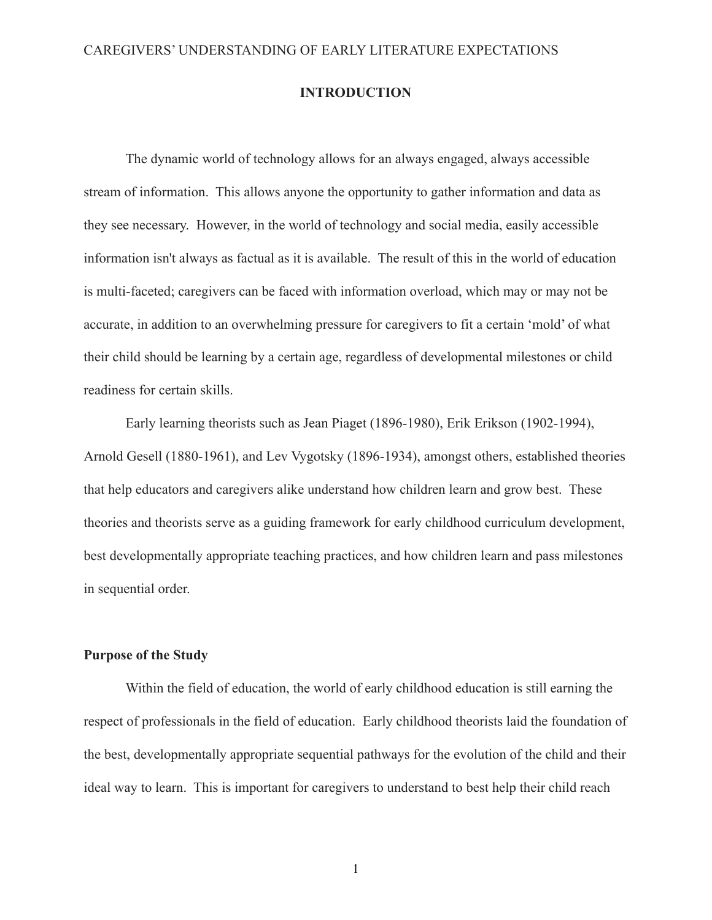## **INTRODUCTION**

The dynamic world of technology allows for an always engaged, always accessible stream of information. This allows anyone the opportunity to gather information and data as they see necessary. However, in the world of technology and social media, easily accessible information isn't always as factual as it is available. The result of this in the world of education is multi-faceted; caregivers can be faced with information overload, which may or may not be accurate, in addition to an overwhelming pressure for caregivers to fit a certain 'mold' of what their child should be learning by a certain age, regardless of developmental milestones or child readiness for certain skills.

Early learning theorists such as Jean Piaget (1896-1980), Erik Erikson (1902-1994), Arnold Gesell (1880-1961), and Lev Vygotsky (1896-1934), amongst others, established theories that help educators and caregivers alike understand how children learn and grow best. These theories and theorists serve as a guiding framework for early childhood curriculum development, best developmentally appropriate teaching practices, and how children learn and pass milestones in sequential order.

#### **Purpose of the Study**

Within the field of education, the world of early childhood education is still earning the respect of professionals in the field of education. Early childhood theorists laid the foundation of the best, developmentally appropriate sequential pathways for the evolution of the child and their ideal way to learn. This is important for caregivers to understand to best help their child reach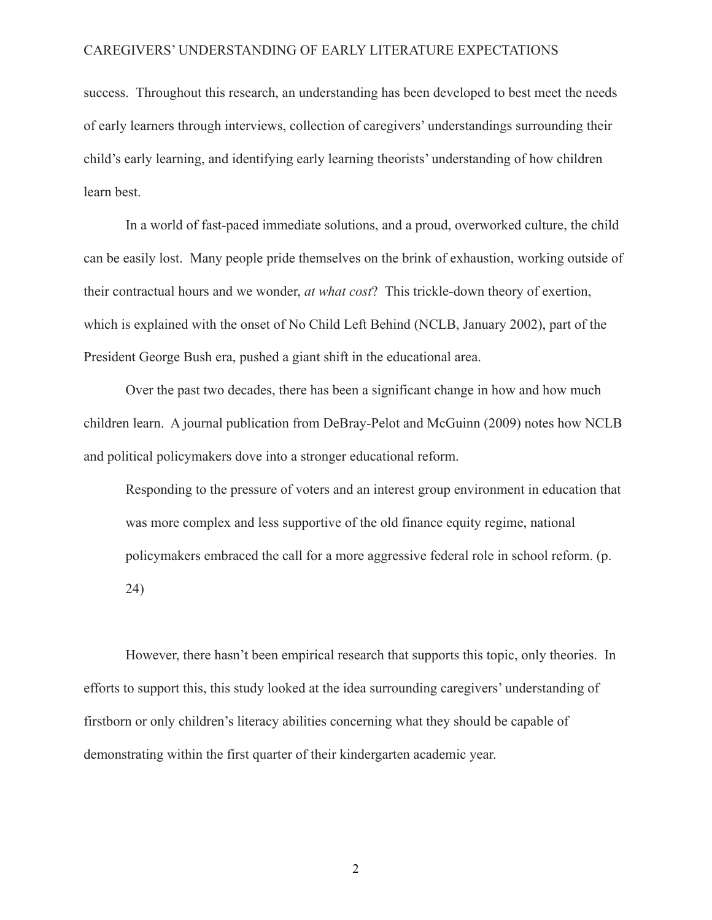success. Throughout this research, an understanding has been developed to best meet the needs of early learners through interviews, collection of caregivers' understandings surrounding their child's early learning, and identifying early learning theorists' understanding of how children learn best.

In a world of fast-paced immediate solutions, and a proud, overworked culture, the child can be easily lost. Many people pride themselves on the brink of exhaustion, working outside of their contractual hours and we wonder, *at what cost*? This trickle-down theory of exertion, which is explained with the onset of No Child Left Behind (NCLB, January 2002), part of the President George Bush era, pushed a giant shift in the educational area.

Over the past two decades, there has been a significant change in how and how much children learn. A journal publication from DeBray-Pelot and McGuinn (2009) notes how NCLB and political policymakers dove into a stronger educational reform.

Responding to the pressure of voters and an interest group environment in education that was more complex and less supportive of the old finance equity regime, national policymakers embraced the call for a more aggressive federal role in school reform. (p. 24)

However, there hasn't been empirical research that supports this topic, only theories. In efforts to support this, this study looked at the idea surrounding caregivers' understanding of firstborn or only children's literacy abilities concerning what they should be capable of demonstrating within the first quarter of their kindergarten academic year.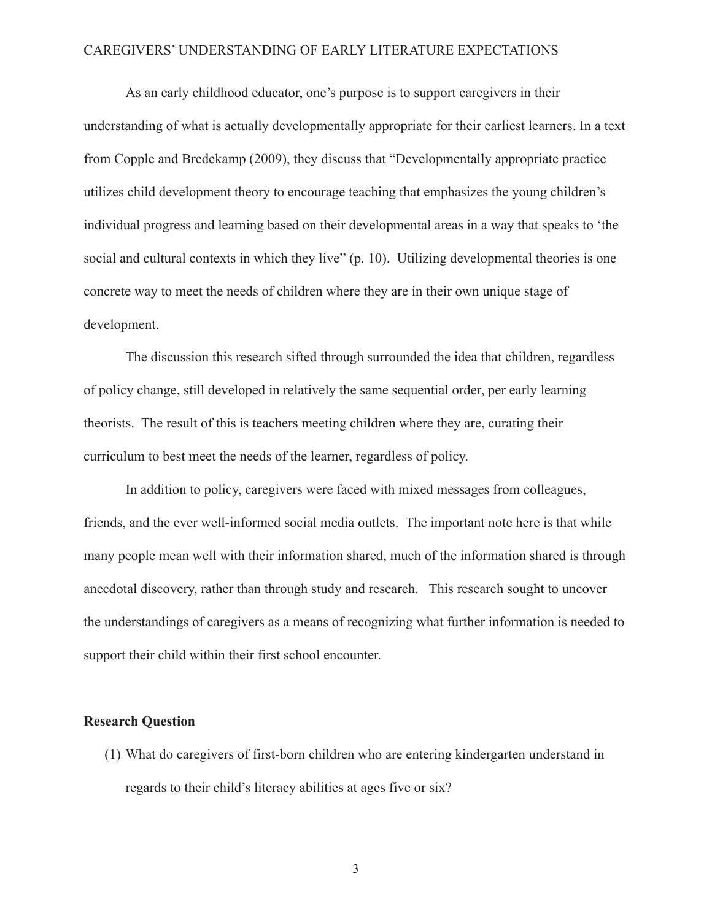As an early childhood educator, one's purpose is to support caregivers in their understanding of what is actually developmentally appropriate for their earliest learners. In a text from Copple and Bredekamp (2009), they discuss that "Developmentally appropriate practice utilizes child development theory to encourage teaching that emphasizes the young children's individual progress and learning based on their developmental areas in a way that speaks to 'the social and cultural contexts in which they live" (p. 10). Utilizing developmental theories is one concrete way to meet the needs of children where they are in their own unique stage of development.

The discussion this research sifted through surrounded the idea that children, regardless of policy change, still developed in relatively the same sequential order, per early learning theorists. The result of this is teachers meeting children where they are, curating their curriculum to best meet the needs of the learner, regardless of policy.

In addition to policy, caregivers were faced with mixed messages from colleagues, friends, and the ever well-informed social media outlets. The important note here is that while many people mean well with their information shared, much of the information shared is through anecdotal discovery, rather than through study and research. This research sought to uncover the understandings of caregivers as a means of recognizing what further information is needed to support their child within their first school encounter.

### **Research Question**

(1) What do caregivers of first-born children who are entering kindergarten understand in regards to their child's literacy abilities at ages five or six?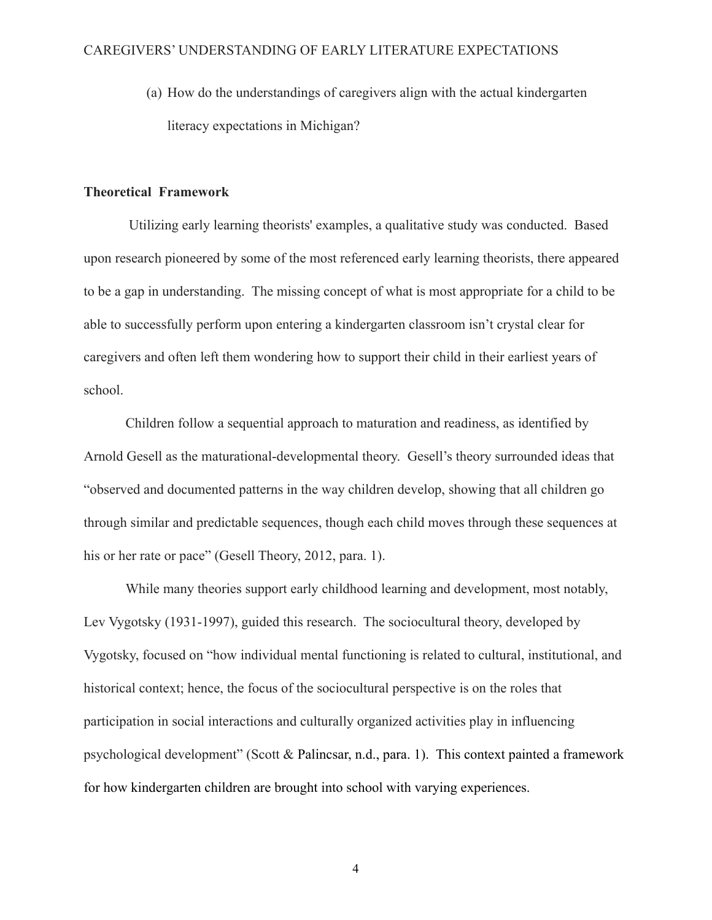(a) How do the understandings of caregivers align with the actual kindergarten literacy expectations in Michigan?

## **Theoretical Framework**

Utilizing early learning theorists' examples, a qualitative study was conducted. Based upon research pioneered by some of the most referenced early learning theorists, there appeared to be a gap in understanding. The missing concept of what is most appropriate for a child to be able to successfully perform upon entering a kindergarten classroom isn't crystal clear for caregivers and often left them wondering how to support their child in their earliest years of school.

Children follow a sequential approach to maturation and readiness, as identified by Arnold Gesell as the maturational-developmental theory. Gesell's theory surrounded ideas that "observed and documented patterns in the way children develop, showing that all children go through similar and predictable sequences, though each child moves through these sequences at his or her rate or pace" (Gesell Theory, 2012, para. 1).

While many theories support early childhood learning and development, most notably, Lev Vygotsky (1931-1997), guided this research. The sociocultural theory, developed by Vygotsky, focused on "how individual mental functioning is related to cultural, institutional, and historical context; hence, the focus of the sociocultural perspective is on the roles that participation in social interactions and culturally organized activities play in influencing psychological development" (Scott & Palincsar, n.d., para. 1). This context painted a framework for how kindergarten children are brought into school with varying experiences.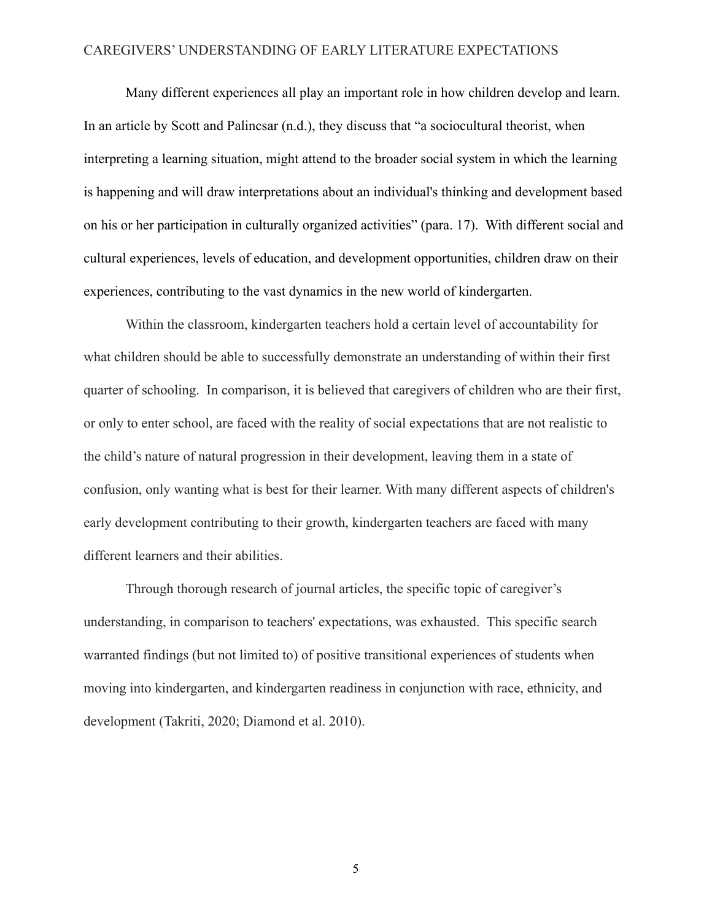Many different experiences all play an important role in how children develop and learn. In an article by Scott and Palincsar (n.d.), they discuss that "a sociocultural theorist, when interpreting a learning situation, might attend to the broader social system in which the learning is happening and will draw interpretations about an individual's thinking and development based on his or her participation in culturally organized activities" (para. 17). With different social and cultural experiences, levels of education, and development opportunities, children draw on their experiences, contributing to the vast dynamics in the new world of kindergarten.

Within the classroom, kindergarten teachers hold a certain level of accountability for what children should be able to successfully demonstrate an understanding of within their first quarter of schooling. In comparison, it is believed that caregivers of children who are their first, or only to enter school, are faced with the reality of social expectations that are not realistic to the child's nature of natural progression in their development, leaving them in a state of confusion, only wanting what is best for their learner. With many different aspects of children's early development contributing to their growth, kindergarten teachers are faced with many different learners and their abilities.

Through thorough research of journal articles, the specific topic of caregiver's understanding, in comparison to teachers' expectations, was exhausted. This specific search warranted findings (but not limited to) of positive transitional experiences of students when moving into kindergarten, and kindergarten readiness in conjunction with race, ethnicity, and development (Takriti, 2020; Diamond et al. 2010).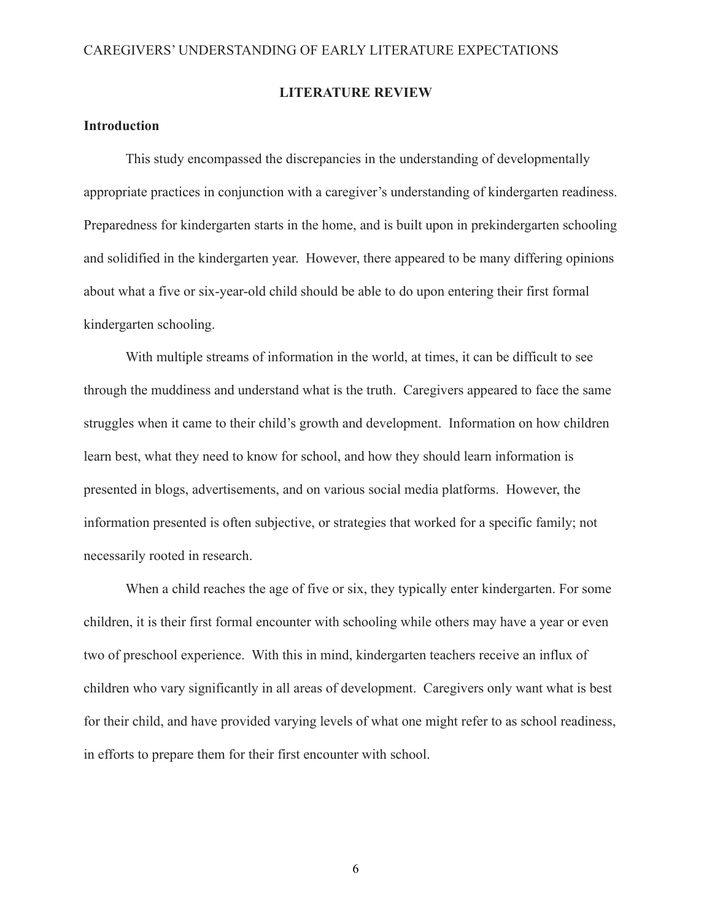### **LITERATURE REVIEW**

## **Introduction**

This study encompassed the discrepancies in the understanding of developmentally appropriate practices in conjunction with a caregiver's understanding of kindergarten readiness. Preparedness for kindergarten starts in the home, and is built upon in prekindergarten schooling and solidified in the kindergarten year. However, there appeared to be many differing opinions about what a five or six-year-old child should be able to do upon entering their first formal kindergarten schooling.

With multiple streams of information in the world, at times, it can be difficult to see through the muddiness and understand what is the truth. Caregivers appeared to face the same struggles when it came to their child's growth and development. Information on how children learn best, what they need to know for school, and how they should learn information is presented in blogs, advertisements, and on various social media platforms. However, the information presented is often subjective, or strategies that worked for a specific family; not necessarily rooted in research.

When a child reaches the age of five or six, they typically enter kindergarten. For some children, it is their first formal encounter with schooling while others may have a year or even two of preschool experience. With this in mind, kindergarten teachers receive an influx of children who vary significantly in all areas of development. Caregivers only want what is best for their child, and have provided varying levels of what one might refer to as school readiness, in efforts to prepare them for their first encounter with school.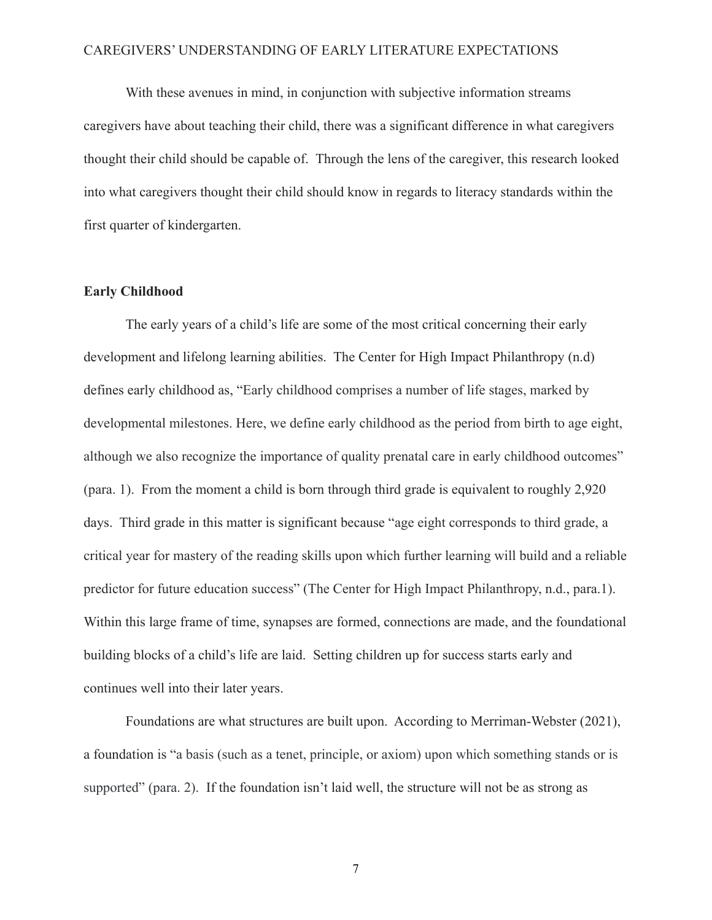With these avenues in mind, in conjunction with subjective information streams caregivers have about teaching their child, there was a significant difference in what caregivers thought their child should be capable of. Through the lens of the caregiver, this research looked into what caregivers thought their child should know in regards to literacy standards within the first quarter of kindergarten.

#### **Early Childhood**

The early years of a child's life are some of the most critical concerning their early development and lifelong learning abilities. The Center for High Impact Philanthropy (n.d) defines early childhood as, "Early childhood comprises a number of life stages, marked by developmental milestones. Here, we define early childhood as the period from birth to age eight, although we also recognize the importance of quality prenatal care in early childhood outcomes" (para. 1). From the moment a child is born through third grade is equivalent to roughly 2,920 days. Third grade in this matter is significant because "age eight corresponds to third grade, a critical year for mastery of the reading skills upon which further learning will build and a reliable predictor for future education success" (The Center for High Impact Philanthropy, n.d., para.1). Within this large frame of time, synapses are formed, connections are made, and the foundational building blocks of a child's life are laid. Setting children up for success starts early and continues well into their later years.

Foundations are what structures are built upon. According to Merriman-Webster (2021), a foundation is "a basis (such as a tenet, principle, or axiom) upon which something stands or is supported" (para. 2). If the foundation isn't laid well, the structure will not be as strong as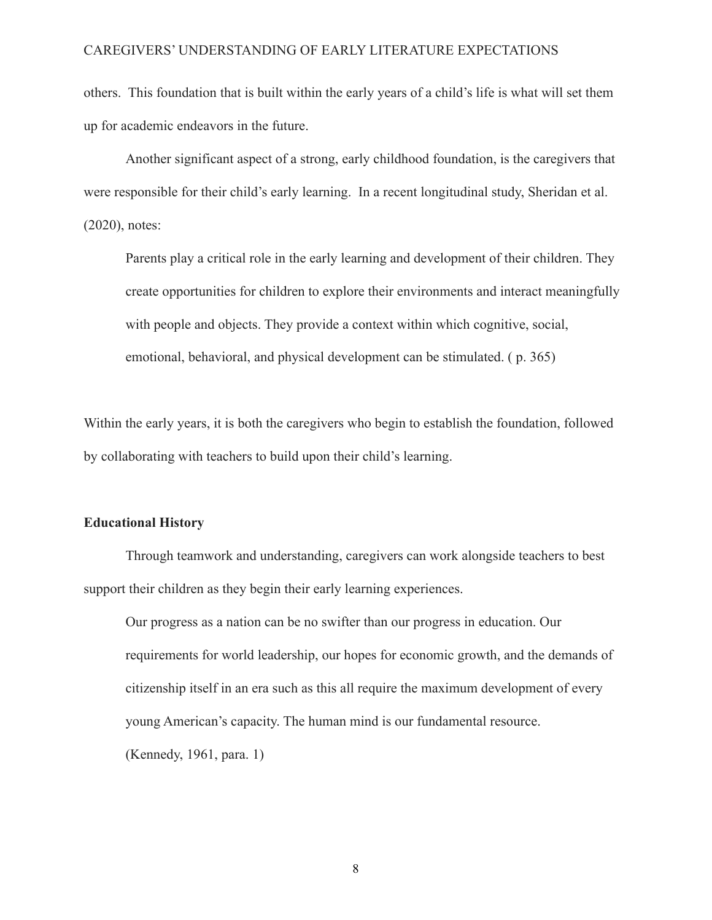others. This foundation that is built within the early years of a child's life is what will set them up for academic endeavors in the future.

Another significant aspect of a strong, early childhood foundation, is the caregivers that were responsible for their child's early learning. In a recent longitudinal study, Sheridan et al. (2020), notes:

Parents play a critical role in the early learning and development of their children. They create opportunities for children to explore their environments and interact meaningfully with people and objects. They provide a context within which cognitive, social, emotional, behavioral, and physical development can be stimulated. ( p. 365)

Within the early years, it is both the caregivers who begin to establish the foundation, followed by collaborating with teachers to build upon their child's learning.

#### **Educational History**

Through teamwork and understanding, caregivers can work alongside teachers to best support their children as they begin their early learning experiences.

Our progress as a nation can be no swifter than our progress in education. Our requirements for world leadership, our hopes for economic growth, and the demands of citizenship itself in an era such as this all require the maximum development of every young American's capacity. The human mind is our fundamental resource. (Kennedy, 1961, para. 1)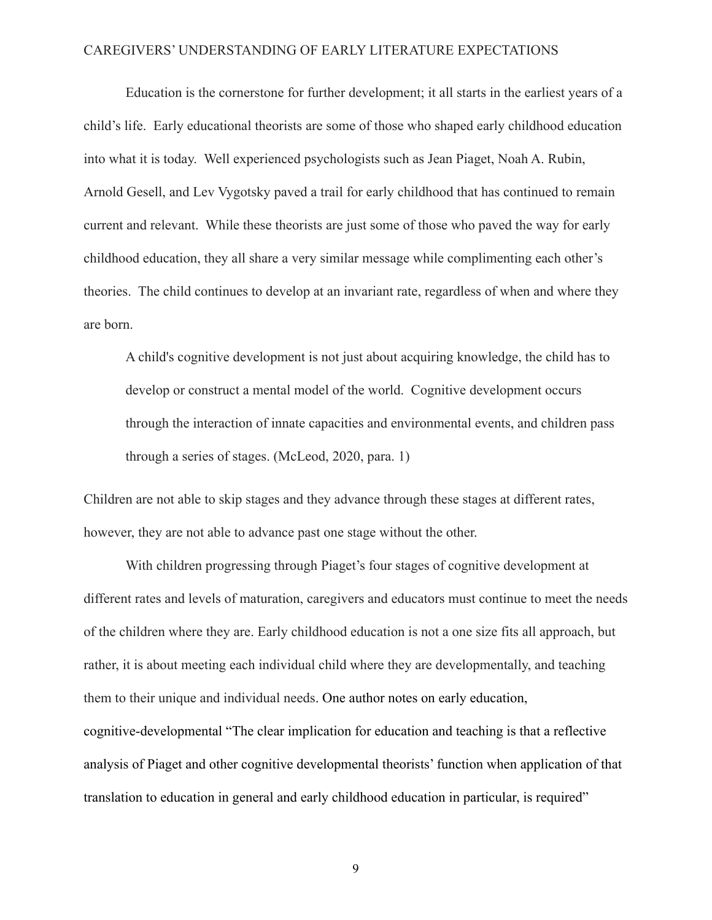Education is the cornerstone for further development; it all starts in the earliest years of a child's life. Early educational theorists are some of those who shaped early childhood education into what it is today. Well experienced psychologists such as Jean Piaget, Noah A. Rubin, Arnold Gesell, and Lev Vygotsky paved a trail for early childhood that has continued to remain current and relevant. While these theorists are just some of those who paved the way for early childhood education, they all share a very similar message while complimenting each other's theories. The child continues to develop at an invariant rate, regardless of when and where they are born.

A child's cognitive development is not just about acquiring knowledge, the child has to develop or construct a mental model of the world. Cognitive development occurs through the interaction of innate capacities and environmental events, and children pass through a series of stages. (McLeod, 2020, para. 1)

Children are not able to skip stages and they advance through these stages at different rates, however, they are not able to advance past one stage without the other.

With children progressing through Piaget's four stages of cognitive development at different rates and levels of maturation, caregivers and educators must continue to meet the needs of the children where they are. Early childhood education is not a one size fits all approach, but rather, it is about meeting each individual child where they are developmentally, and teaching them to their unique and individual needs. One author notes on early education, cognitive-developmental "The clear implication for education and teaching is that a reflective analysis of Piaget and other cognitive developmental theorists' function when application of that translation to education in general and early childhood education in particular, is required"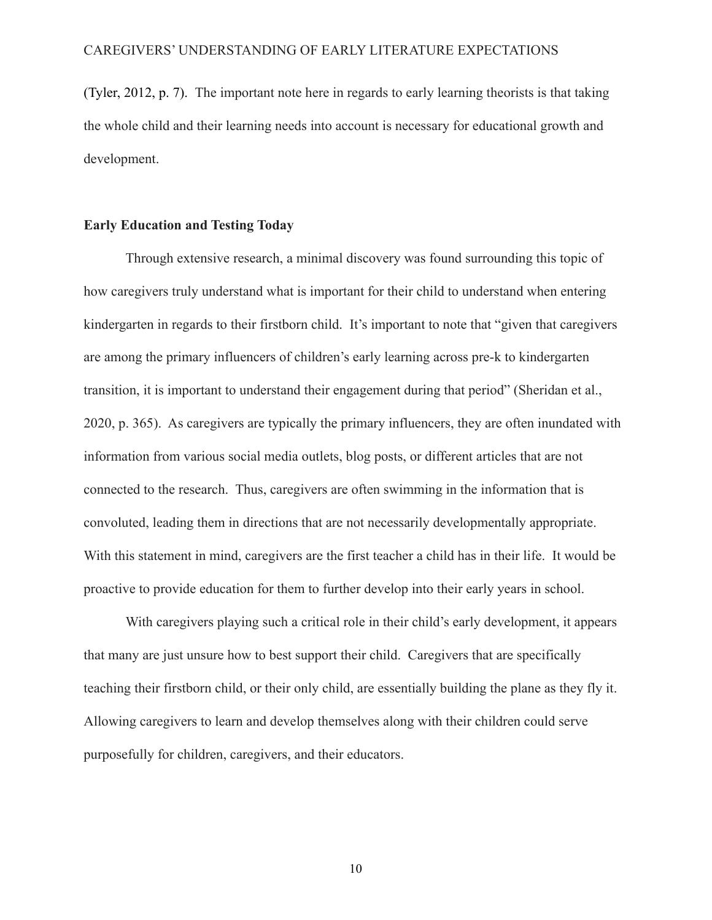(Tyler, 2012, p. 7). The important note here in regards to early learning theorists is that taking the whole child and their learning needs into account is necessary for educational growth and development.

## **Early Education and Testing Today**

Through extensive research, a minimal discovery was found surrounding this topic of how caregivers truly understand what is important for their child to understand when entering kindergarten in regards to their firstborn child. It's important to note that "given that caregivers are among the primary influencers of children's early learning across pre-k to kindergarten transition, it is important to understand their engagement during that period" (Sheridan et al., 2020, p. 365). As caregivers are typically the primary influencers, they are often inundated with information from various social media outlets, blog posts, or different articles that are not connected to the research. Thus, caregivers are often swimming in the information that is convoluted, leading them in directions that are not necessarily developmentally appropriate. With this statement in mind, caregivers are the first teacher a child has in their life. It would be proactive to provide education for them to further develop into their early years in school.

With caregivers playing such a critical role in their child's early development, it appears that many are just unsure how to best support their child. Caregivers that are specifically teaching their firstborn child, or their only child, are essentially building the plane as they fly it. Allowing caregivers to learn and develop themselves along with their children could serve purposefully for children, caregivers, and their educators.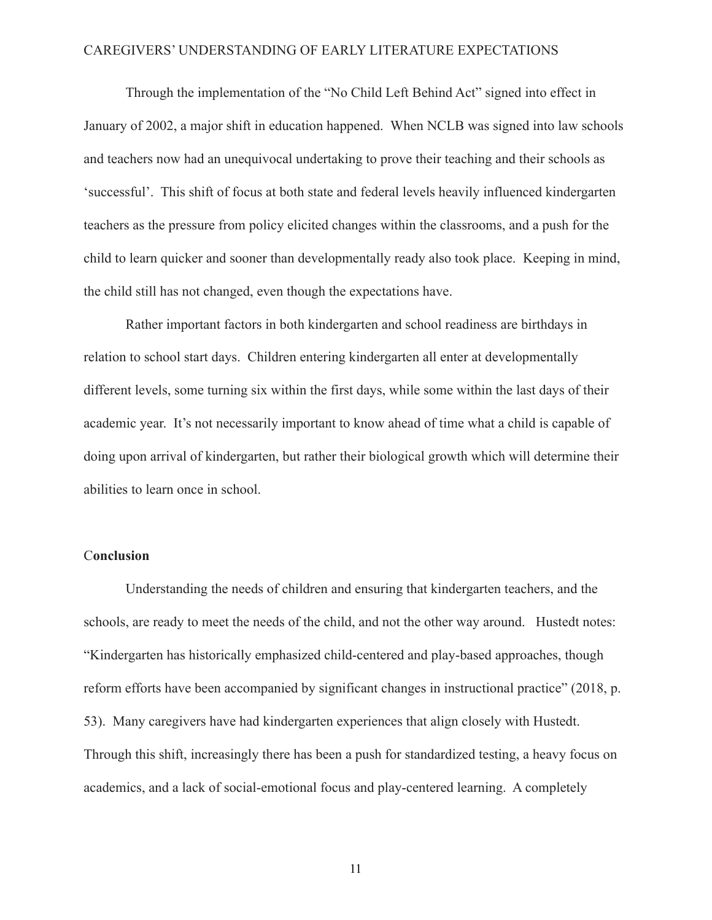Through the implementation of the "No Child Left Behind Act" signed into effect in January of 2002, a major shift in education happened. When NCLB was signed into law schools and teachers now had an unequivocal undertaking to prove their teaching and their schools as 'successful'. This shift of focus at both state and federal levels heavily influenced kindergarten teachers as the pressure from policy elicited changes within the classrooms, and a push for the child to learn quicker and sooner than developmentally ready also took place. Keeping in mind, the child still has not changed, even though the expectations have.

Rather important factors in both kindergarten and school readiness are birthdays in relation to school start days. Children entering kindergarten all enter at developmentally different levels, some turning six within the first days, while some within the last days of their academic year. It's not necessarily important to know ahead of time what a child is capable of doing upon arrival of kindergarten, but rather their biological growth which will determine their abilities to learn once in school.

## C**onclusion**

Understanding the needs of children and ensuring that kindergarten teachers, and the schools, are ready to meet the needs of the child, and not the other way around. Hustedt notes: "Kindergarten has historically emphasized child-centered and play-based approaches, though reform efforts have been accompanied by significant changes in instructional practice" (2018, p. 53). Many caregivers have had kindergarten experiences that align closely with Hustedt. Through this shift, increasingly there has been a push for standardized testing, a heavy focus on academics, and a lack of social-emotional focus and play-centered learning. A completely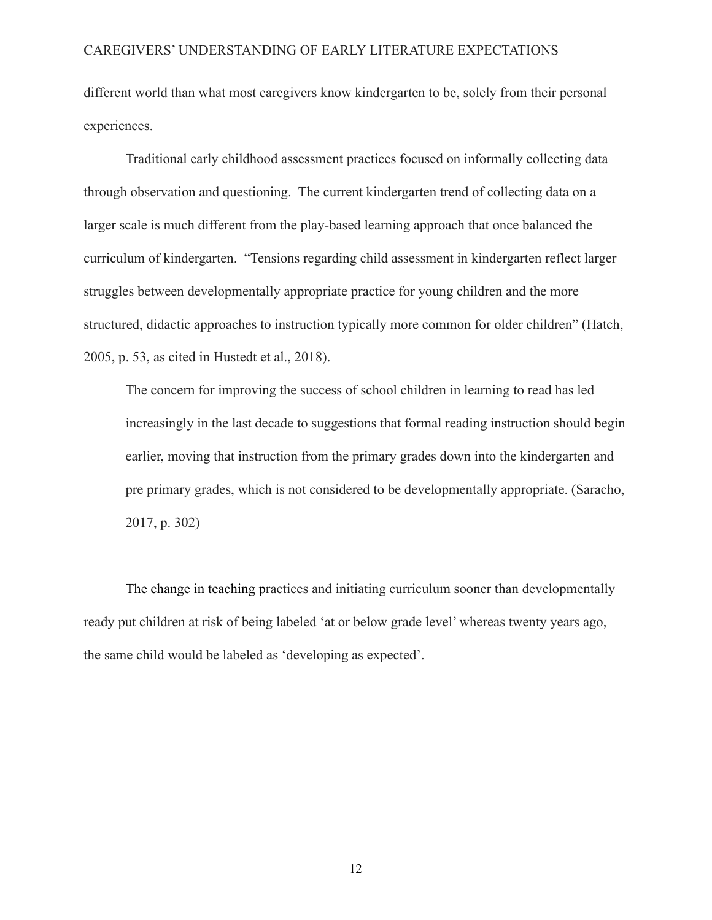different world than what most caregivers know kindergarten to be, solely from their personal experiences.

Traditional early childhood assessment practices focused on informally collecting data through observation and questioning. The current kindergarten trend of collecting data on a larger scale is much different from the play-based learning approach that once balanced the curriculum of kindergarten. "Tensions regarding child assessment in kindergarten reflect larger struggles between developmentally appropriate practice for young children and the more structured, didactic approaches to instruction typically more common for older children" (Hatch, 2005, p. 53, as cited in Hustedt et al., 2018).

The concern for improving the success of school children in learning to read has led increasingly in the last decade to suggestions that formal reading instruction should begin earlier, moving that instruction from the primary grades down into the kindergarten and pre primary grades, which is not considered to be developmentally appropriate. (Saracho, 2017, p. 302)

The change in teaching practices and initiating curriculum sooner than developmentally ready put children at risk of being labeled 'at or below grade level' whereas twenty years ago, the same child would be labeled as 'developing as expected'.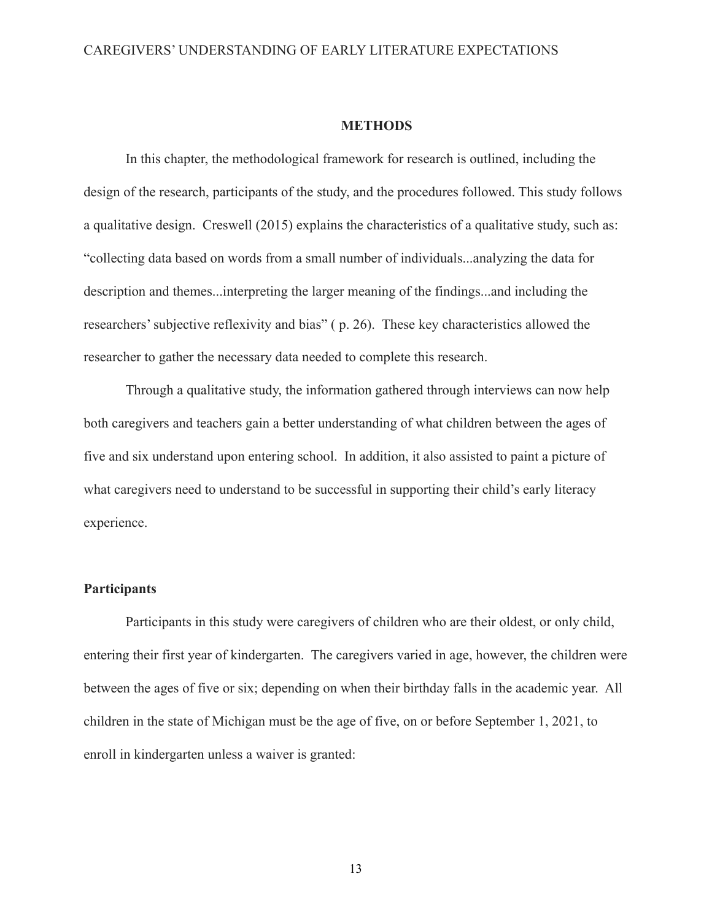#### **METHODS**

In this chapter, the methodological framework for research is outlined, including the design of the research, participants of the study, and the procedures followed. This study follows a qualitative design. Creswell (2015) explains the characteristics of a qualitative study, such as: "collecting data based on words from a small number of individuals...analyzing the data for description and themes...interpreting the larger meaning of the findings...and including the researchers' subjective reflexivity and bias" ( p. 26). These key characteristics allowed the researcher to gather the necessary data needed to complete this research.

Through a qualitative study, the information gathered through interviews can now help both caregivers and teachers gain a better understanding of what children between the ages of five and six understand upon entering school. In addition, it also assisted to paint a picture of what caregivers need to understand to be successful in supporting their child's early literacy experience.

## **Participants**

Participants in this study were caregivers of children who are their oldest, or only child, entering their first year of kindergarten. The caregivers varied in age, however, the children were between the ages of five or six; depending on when their birthday falls in the academic year. All children in the state of Michigan must be the age of five, on or before September 1, 2021, to enroll in kindergarten unless a waiver is granted: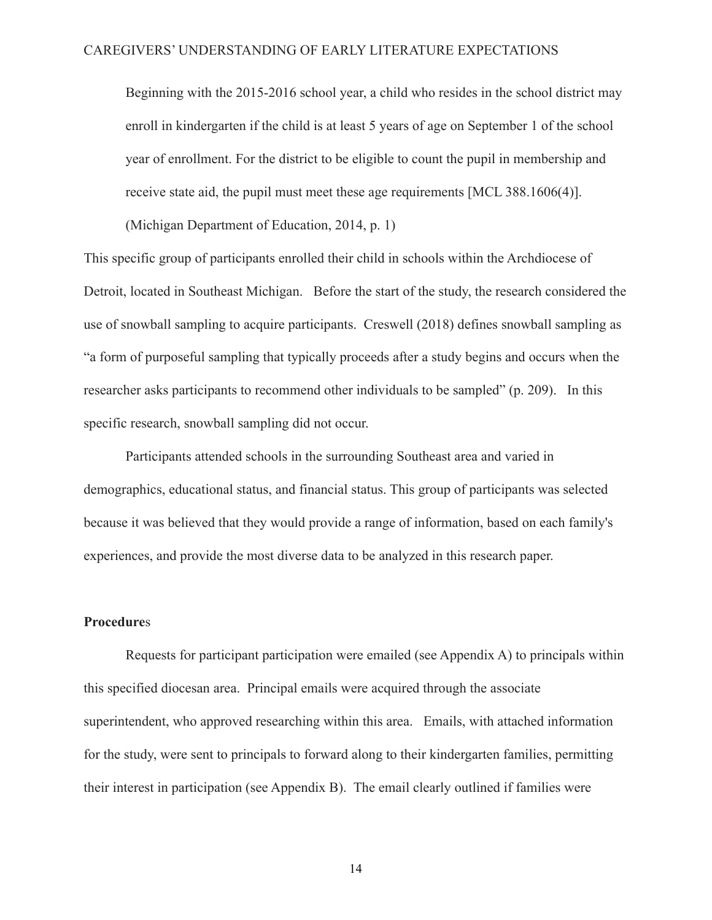Beginning with the 2015-2016 school year, a child who resides in the school district may enroll in kindergarten if the child is at least 5 years of age on September 1 of the school year of enrollment. For the district to be eligible to count the pupil in membership and receive state aid, the pupil must meet these age requirements [MCL 388.1606(4)].

(Michigan Department of Education, 2014, p. 1)

This specific group of participants enrolled their child in schools within the Archdiocese of Detroit, located in Southeast Michigan. Before the start of the study, the research considered the use of snowball sampling to acquire participants. Creswell (2018) defines snowball sampling as "a form of purposeful sampling that typically proceeds after a study begins and occurs when the researcher asks participants to recommend other individuals to be sampled" (p. 209). In this specific research, snowball sampling did not occur.

Participants attended schools in the surrounding Southeast area and varied in demographics, educational status, and financial status. This group of participants was selected because it was believed that they would provide a range of information, based on each family's experiences, and provide the most diverse data to be analyzed in this research paper.

## **Procedure**s

Requests for participant participation were emailed (see Appendix A) to principals within this specified diocesan area. Principal emails were acquired through the associate superintendent, who approved researching within this area. Emails, with attached information for the study, were sent to principals to forward along to their kindergarten families, permitting their interest in participation (see Appendix B). The email clearly outlined if families were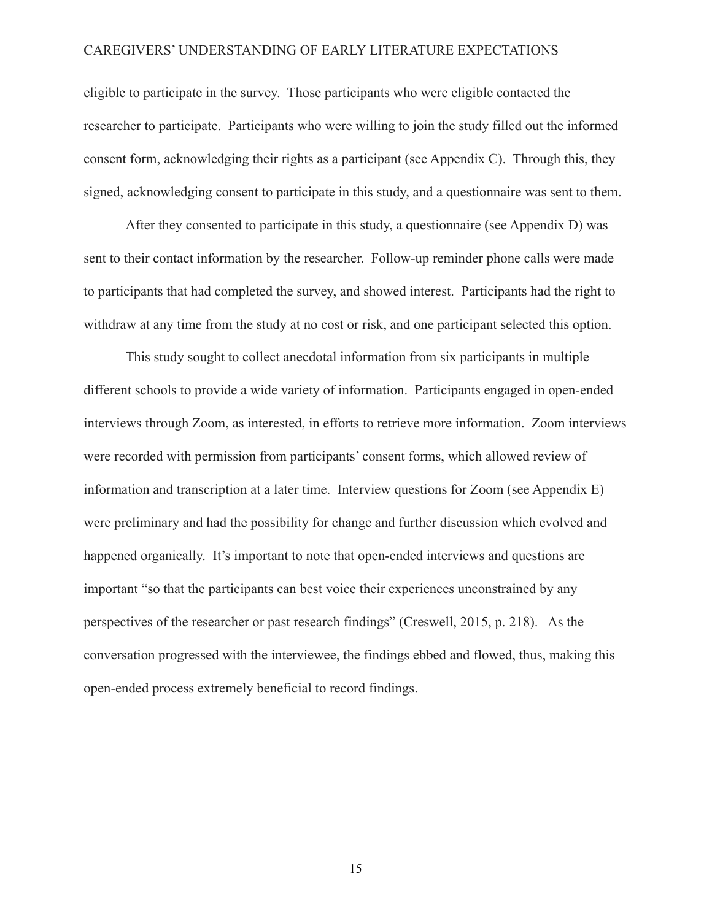eligible to participate in the survey. Those participants who were eligible contacted the researcher to participate. Participants who were willing to join the study filled out the informed consent form, acknowledging their rights as a participant (see Appendix C). Through this, they signed, acknowledging consent to participate in this study, and a questionnaire was sent to them.

After they consented to participate in this study, a questionnaire (see Appendix D) was sent to their contact information by the researcher. Follow-up reminder phone calls were made to participants that had completed the survey, and showed interest. Participants had the right to withdraw at any time from the study at no cost or risk, and one participant selected this option.

This study sought to collect anecdotal information from six participants in multiple different schools to provide a wide variety of information. Participants engaged in open-ended interviews through Zoom, as interested, in efforts to retrieve more information. Zoom interviews were recorded with permission from participants' consent forms, which allowed review of information and transcription at a later time. Interview questions for Zoom (see Appendix E) were preliminary and had the possibility for change and further discussion which evolved and happened organically. It's important to note that open-ended interviews and questions are important "so that the participants can best voice their experiences unconstrained by any perspectives of the researcher or past research findings" (Creswell, 2015, p. 218). As the conversation progressed with the interviewee, the findings ebbed and flowed, thus, making this open-ended process extremely beneficial to record findings.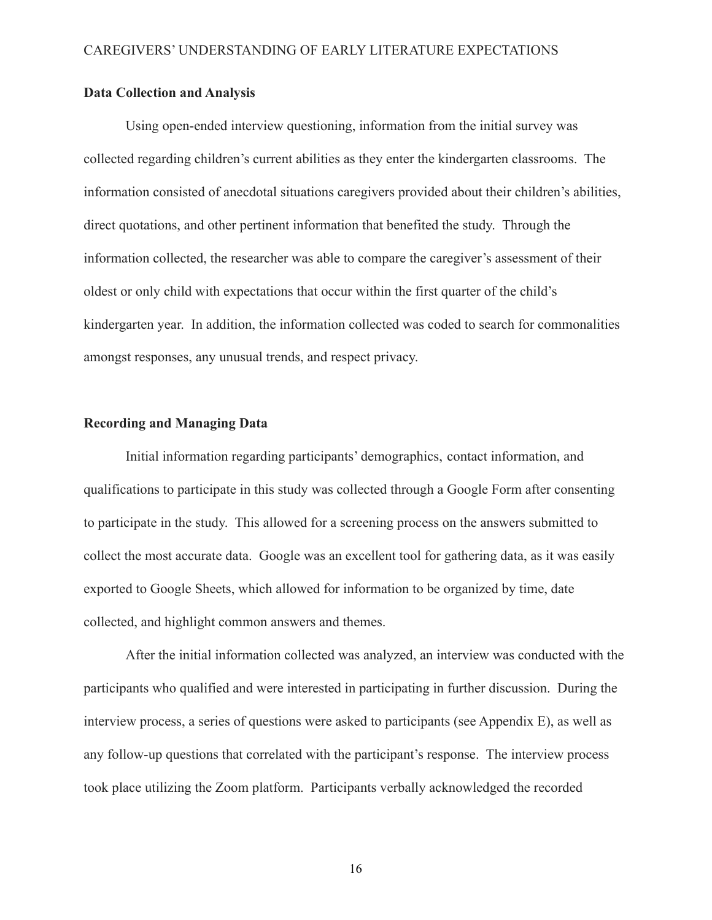### **Data Collection and Analysis**

Using open-ended interview questioning, information from the initial survey was collected regarding children's current abilities as they enter the kindergarten classrooms. The information consisted of anecdotal situations caregivers provided about their children's abilities, direct quotations, and other pertinent information that benefited the study. Through the information collected, the researcher was able to compare the caregiver's assessment of their oldest or only child with expectations that occur within the first quarter of the child's kindergarten year. In addition, the information collected was coded to search for commonalities amongst responses, any unusual trends, and respect privacy.

## **Recording and Managing Data**

Initial information regarding participants' demographics, contact information, and qualifications to participate in this study was collected through a Google Form after consenting to participate in the study. This allowed for a screening process on the answers submitted to collect the most accurate data. Google was an excellent tool for gathering data, as it was easily exported to Google Sheets, which allowed for information to be organized by time, date collected, and highlight common answers and themes.

After the initial information collected was analyzed, an interview was conducted with the participants who qualified and were interested in participating in further discussion. During the interview process, a series of questions were asked to participants (see Appendix E), as well as any follow-up questions that correlated with the participant's response. The interview process took place utilizing the Zoom platform. Participants verbally acknowledged the recorded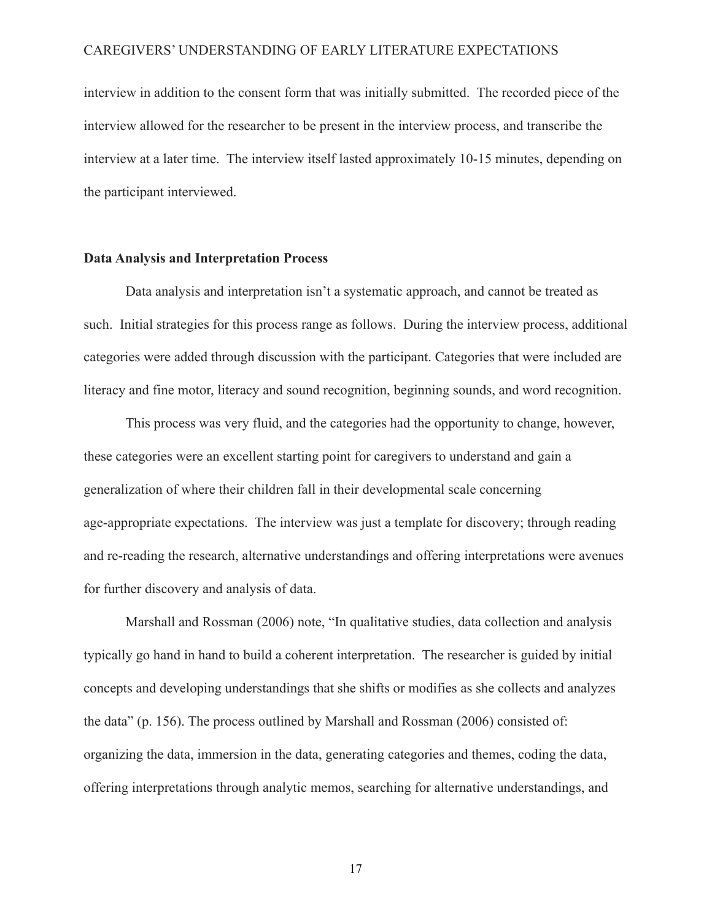interview in addition to the consent form that was initially submitted. The recorded piece of the interview allowed for the researcher to be present in the interview process, and transcribe the interview at a later time. The interview itself lasted approximately 10-15 minutes, depending on the participant interviewed.

#### **Data Analysis and Interpretation Process**

Data analysis and interpretation isn't a systematic approach, and cannot be treated as such. Initial strategies for this process range as follows. During the interview process, additional categories were added through discussion with the participant. Categories that were included are literacy and fine motor, literacy and sound recognition, beginning sounds, and word recognition.

This process was very fluid, and the categories had the opportunity to change, however, these categories were an excellent starting point for caregivers to understand and gain a generalization of where their children fall in their developmental scale concerning age-appropriate expectations. The interview was just a template for discovery; through reading and re-reading the research, alternative understandings and offering interpretations were avenues for further discovery and analysis of data.

Marshall and Rossman (2006) note, "In qualitative studies, data collection and analysis typically go hand in hand to build a coherent interpretation. The researcher is guided by initial concepts and developing understandings that she shifts or modifies as she collects and analyzes the data" (p. 156). The process outlined by Marshall and Rossman (2006) consisted of: organizing the data, immersion in the data, generating categories and themes, coding the data, offering interpretations through analytic memos, searching for alternative understandings, and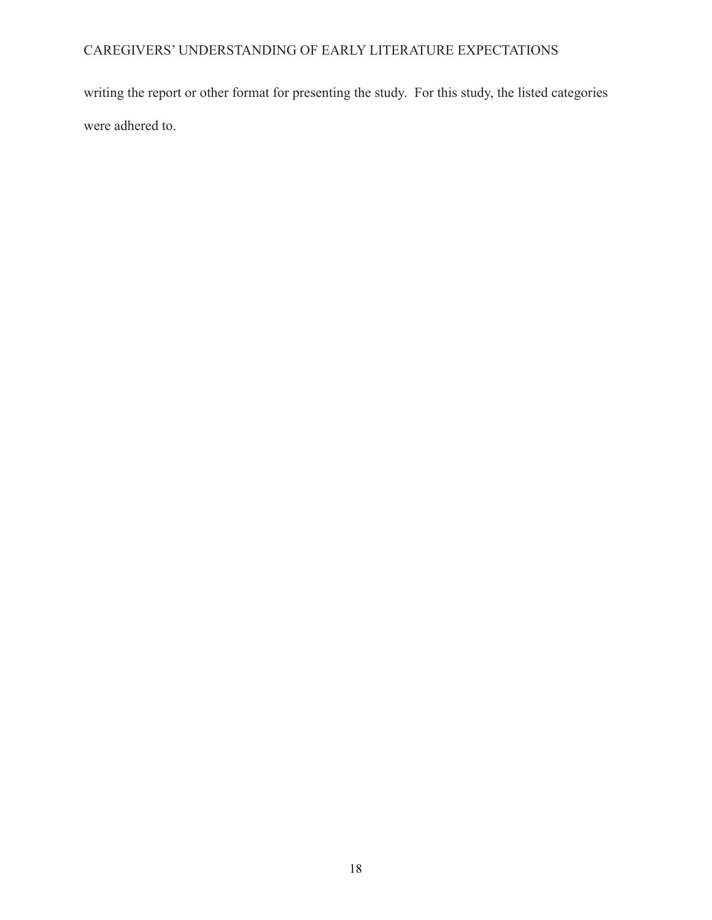writing the report or other format for presenting the study. For this study, the listed categories were adhered to.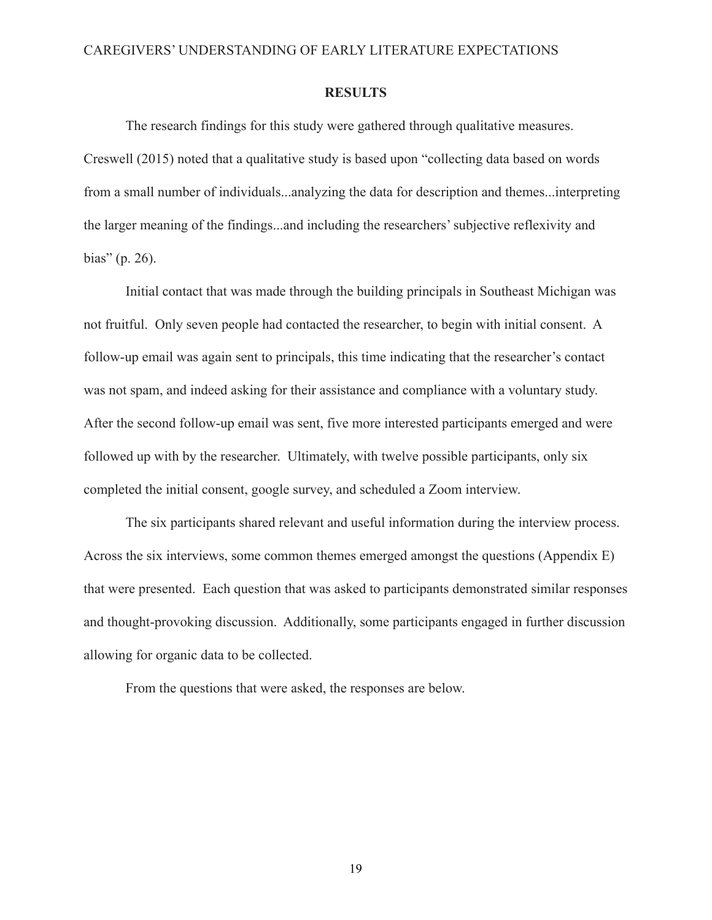#### **RESULTS**

The research findings for this study were gathered through qualitative measures. Creswell (2015) noted that a qualitative study is based upon "collecting data based on words from a small number of individuals...analyzing the data for description and themes...interpreting the larger meaning of the findings...and including the researchers' subjective reflexivity and bias" (p. 26).

Initial contact that was made through the building principals in Southeast Michigan was not fruitful. Only seven people had contacted the researcher, to begin with initial consent. A follow-up email was again sent to principals, this time indicating that the researcher's contact was not spam, and indeed asking for their assistance and compliance with a voluntary study. After the second follow-up email was sent, five more interested participants emerged and were followed up with by the researcher. Ultimately, with twelve possible participants, only six completed the initial consent, google survey, and scheduled a Zoom interview.

The six participants shared relevant and useful information during the interview process. Across the six interviews, some common themes emerged amongst the questions (Appendix E) that were presented. Each question that was asked to participants demonstrated similar responses and thought-provoking discussion. Additionally, some participants engaged in further discussion allowing for organic data to be collected.

From the questions that were asked, the responses are below.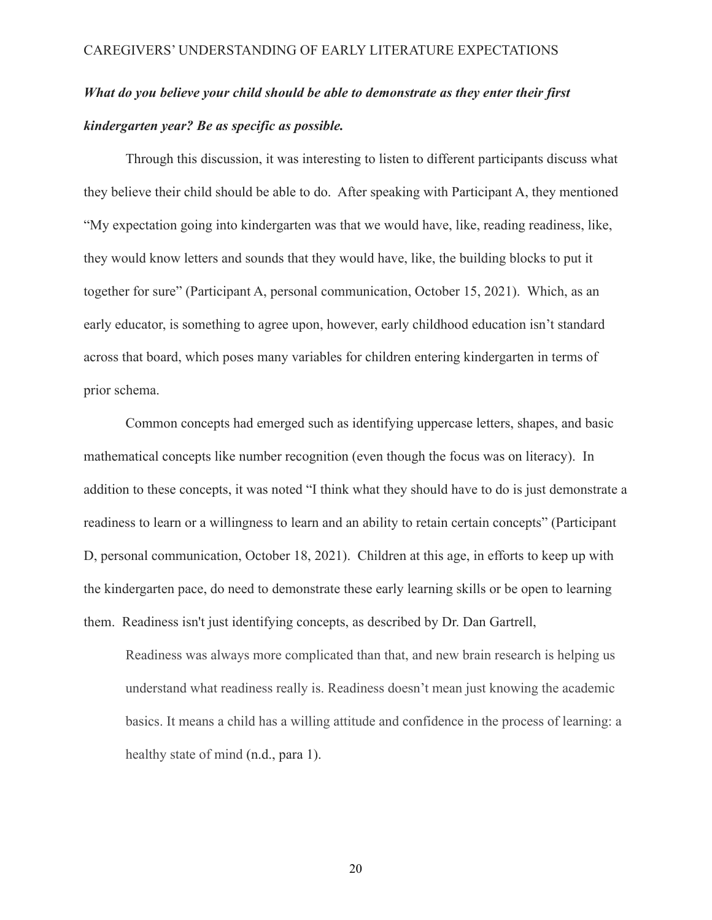# *What do you believe your child should be able to demonstrate as they enter their first kindergarten year? Be as specific as possible.*

Through this discussion, it was interesting to listen to different participants discuss what they believe their child should be able to do. After speaking with Participant A, they mentioned "My expectation going into kindergarten was that we would have, like, reading readiness, like, they would know letters and sounds that they would have, like, the building blocks to put it together for sure" (Participant A, personal communication, October 15, 2021). Which, as an early educator, is something to agree upon, however, early childhood education isn't standard across that board, which poses many variables for children entering kindergarten in terms of prior schema.

Common concepts had emerged such as identifying uppercase letters, shapes, and basic mathematical concepts like number recognition (even though the focus was on literacy). In addition to these concepts, it was noted "I think what they should have to do is just demonstrate a readiness to learn or a willingness to learn and an ability to retain certain concepts" (Participant D, personal communication, October 18, 2021). Children at this age, in efforts to keep up with the kindergarten pace, do need to demonstrate these early learning skills or be open to learning them. Readiness isn't just identifying concepts, as described by Dr. Dan Gartrell,

Readiness was always more complicated than that, and new brain research is helping us understand what readiness really is. Readiness doesn't mean just knowing the academic basics. It means a child has a willing attitude and confidence in the process of learning: a healthy state of mind (n.d., para 1).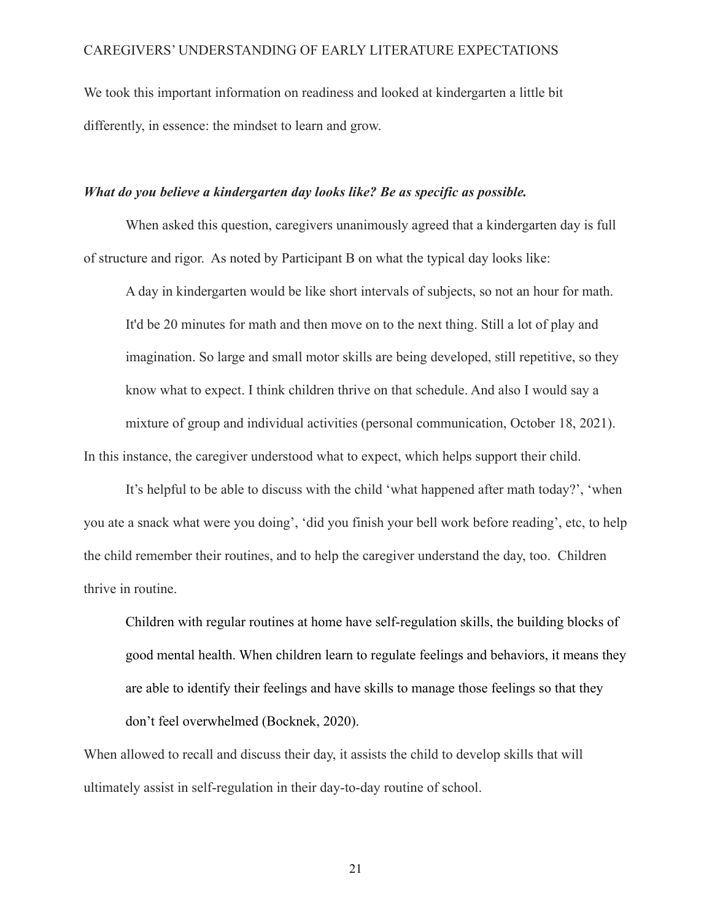We took this important information on readiness and looked at kindergarten a little bit differently, in essence: the mindset to learn and grow.

### *What do you believe a kindergarten day looks like? Be as specific as possible.*

When asked this question, caregivers unanimously agreed that a kindergarten day is full of structure and rigor. As noted by Participant B on what the typical day looks like:

A day in kindergarten would be like short intervals of subjects, so not an hour for math. It'd be 20 minutes for math and then move on to the next thing. Still a lot of play and imagination. So large and small motor skills are being developed, still repetitive, so they know what to expect. I think children thrive on that schedule. And also I would say a mixture of group and individual activities (personal communication, October 18, 2021). In this instance, the caregiver understood what to expect, which helps support their child.

It's helpful to be able to discuss with the child 'what happened after math today?', 'when you ate a snack what were you doing', 'did you finish your bell work before reading', etc, to help the child remember their routines, and to help the caregiver understand the day, too. Children thrive in routine.

Children with regular routines at home have self-regulation skills, the building blocks of good mental health. When children learn to regulate feelings and behaviors, it means they are able to identify their feelings and have skills to manage those feelings so that they don't feel overwhelmed (Bocknek, 2020).

When allowed to recall and discuss their day, it assists the child to develop skills that will ultimately assist in self-regulation in their day-to-day routine of school.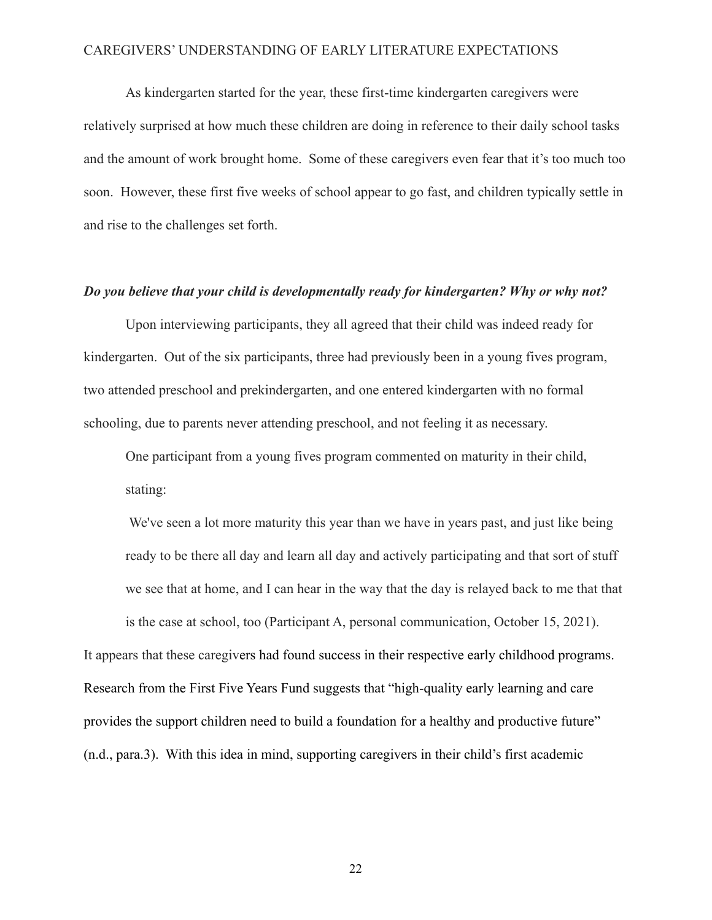As kindergarten started for the year, these first-time kindergarten caregivers were relatively surprised at how much these children are doing in reference to their daily school tasks and the amount of work brought home. Some of these caregivers even fear that it's too much too soon. However, these first five weeks of school appear to go fast, and children typically settle in and rise to the challenges set forth.

#### *Do you believe that your child is developmentally ready for kindergarten? Why or why not?*

Upon interviewing participants, they all agreed that their child was indeed ready for kindergarten. Out of the six participants, three had previously been in a young fives program, two attended preschool and prekindergarten, and one entered kindergarten with no formal schooling, due to parents never attending preschool, and not feeling it as necessary.

One participant from a young fives program commented on maturity in their child, stating:

We've seen a lot more maturity this year than we have in years past, and just like being ready to be there all day and learn all day and actively participating and that sort of stuff we see that at home, and I can hear in the way that the day is relayed back to me that that

is the case at school, too (Participant A, personal communication, October 15, 2021).

It appears that these caregivers had found success in their respective early childhood programs. Research from the First Five Years Fund suggests that "high-quality early learning and care provides the support children need to build a foundation for a healthy and productive future" (n.d., para.3). With this idea in mind, supporting caregivers in their child's first academic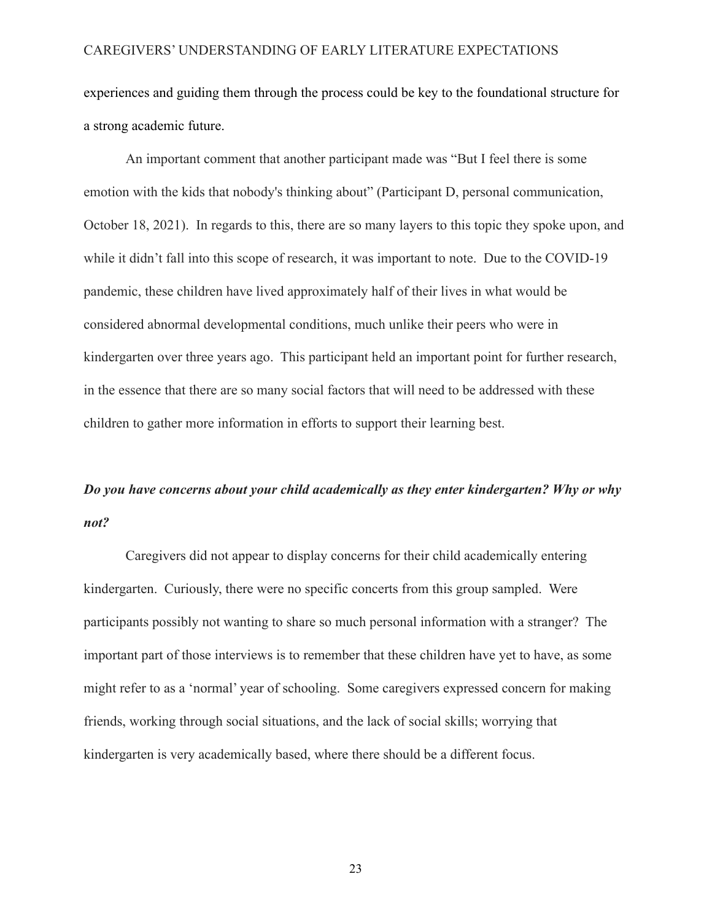experiences and guiding them through the process could be key to the foundational structure for a strong academic future.

An important comment that another participant made was "But I feel there is some emotion with the kids that nobody's thinking about" (Participant D, personal communication, October 18, 2021). In regards to this, there are so many layers to this topic they spoke upon, and while it didn't fall into this scope of research, it was important to note. Due to the COVID-19 pandemic, these children have lived approximately half of their lives in what would be considered abnormal developmental conditions, much unlike their peers who were in kindergarten over three years ago. This participant held an important point for further research, in the essence that there are so many social factors that will need to be addressed with these children to gather more information in efforts to support their learning best.

# *Do you have concerns about your child academically as they enter kindergarten? Why or why not?*

Caregivers did not appear to display concerns for their child academically entering kindergarten. Curiously, there were no specific concerts from this group sampled. Were participants possibly not wanting to share so much personal information with a stranger? The important part of those interviews is to remember that these children have yet to have, as some might refer to as a 'normal' year of schooling. Some caregivers expressed concern for making friends, working through social situations, and the lack of social skills; worrying that kindergarten is very academically based, where there should be a different focus.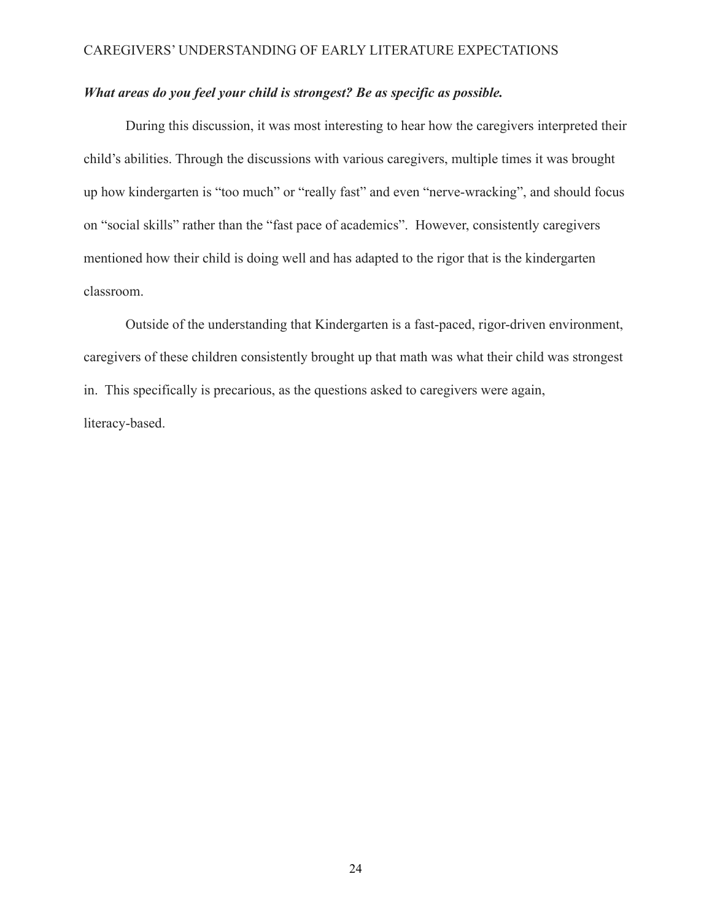## *What areas do you feel your child is strongest? Be as specific as possible.*

During this discussion, it was most interesting to hear how the caregivers interpreted their child's abilities. Through the discussions with various caregivers, multiple times it was brought up how kindergarten is "too much" or "really fast" and even "nerve-wracking", and should focus on "social skills" rather than the "fast pace of academics". However, consistently caregivers mentioned how their child is doing well and has adapted to the rigor that is the kindergarten classroom.

Outside of the understanding that Kindergarten is a fast-paced, rigor-driven environment, caregivers of these children consistently brought up that math was what their child was strongest in. This specifically is precarious, as the questions asked to caregivers were again, literacy-based.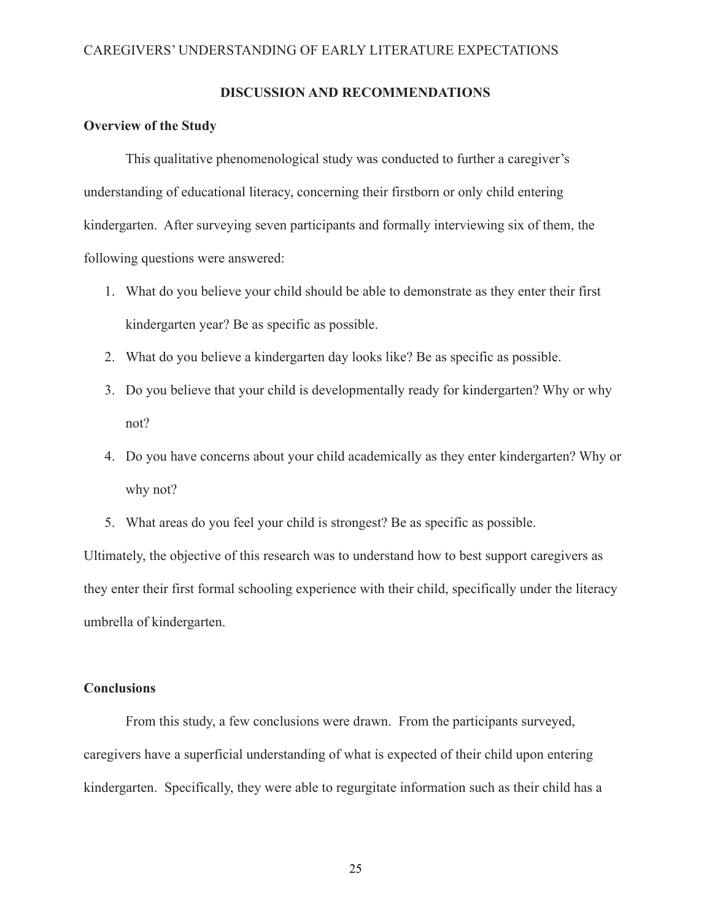## **DISCUSSION AND RECOMMENDATIONS**

#### **Overview of the Study**

This qualitative phenomenological study was conducted to further a caregiver's understanding of educational literacy, concerning their firstborn or only child entering kindergarten. After surveying seven participants and formally interviewing six of them, the following questions were answered:

- 1. What do you believe your child should be able to demonstrate as they enter their first kindergarten year? Be as specific as possible.
- 2. What do you believe a kindergarten day looks like? Be as specific as possible.
- 3. Do you believe that your child is developmentally ready for kindergarten? Why or why not?
- 4. Do you have concerns about your child academically as they enter kindergarten? Why or why not?
- 5. What areas do you feel your child is strongest? Be as specific as possible.

Ultimately, the objective of this research was to understand how to best support caregivers as they enter their first formal schooling experience with their child, specifically under the literacy umbrella of kindergarten.

## **Conclusions**

From this study, a few conclusions were drawn. From the participants surveyed, caregivers have a superficial understanding of what is expected of their child upon entering kindergarten. Specifically, they were able to regurgitate information such as their child has a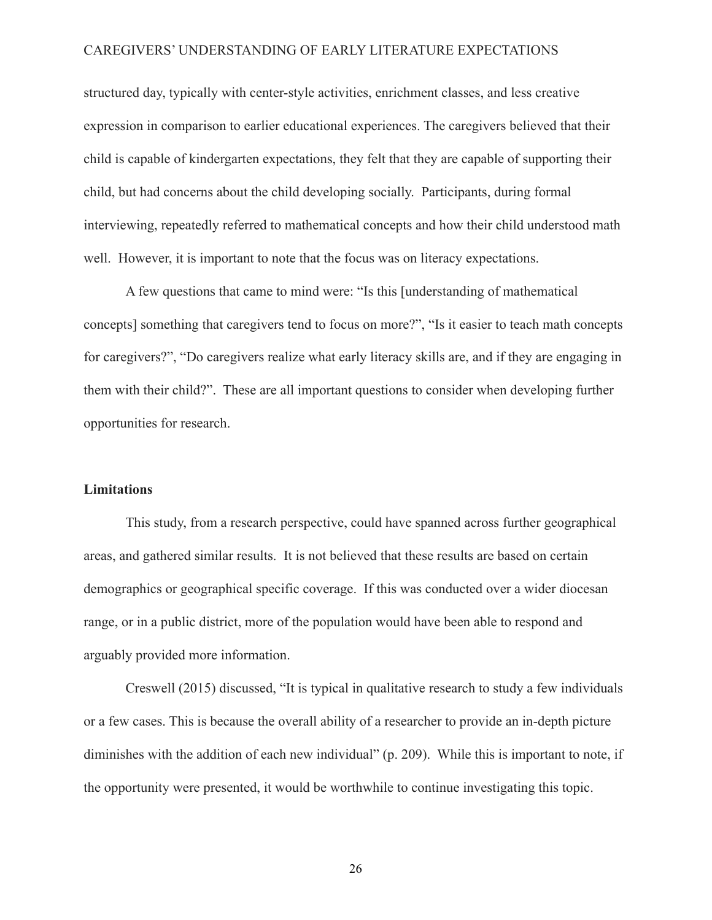structured day, typically with center-style activities, enrichment classes, and less creative expression in comparison to earlier educational experiences. The caregivers believed that their child is capable of kindergarten expectations, they felt that they are capable of supporting their child, but had concerns about the child developing socially. Participants, during formal interviewing, repeatedly referred to mathematical concepts and how their child understood math well. However, it is important to note that the focus was on literacy expectations.

A few questions that came to mind were: "Is this [understanding of mathematical concepts] something that caregivers tend to focus on more?", "Is it easier to teach math concepts for caregivers?", "Do caregivers realize what early literacy skills are, and if they are engaging in them with their child?". These are all important questions to consider when developing further opportunities for research.

#### **Limitations**

This study, from a research perspective, could have spanned across further geographical areas, and gathered similar results. It is not believed that these results are based on certain demographics or geographical specific coverage. If this was conducted over a wider diocesan range, or in a public district, more of the population would have been able to respond and arguably provided more information.

Creswell (2015) discussed, "It is typical in qualitative research to study a few individuals or a few cases. This is because the overall ability of a researcher to provide an in-depth picture diminishes with the addition of each new individual" (p. 209). While this is important to note, if the opportunity were presented, it would be worthwhile to continue investigating this topic.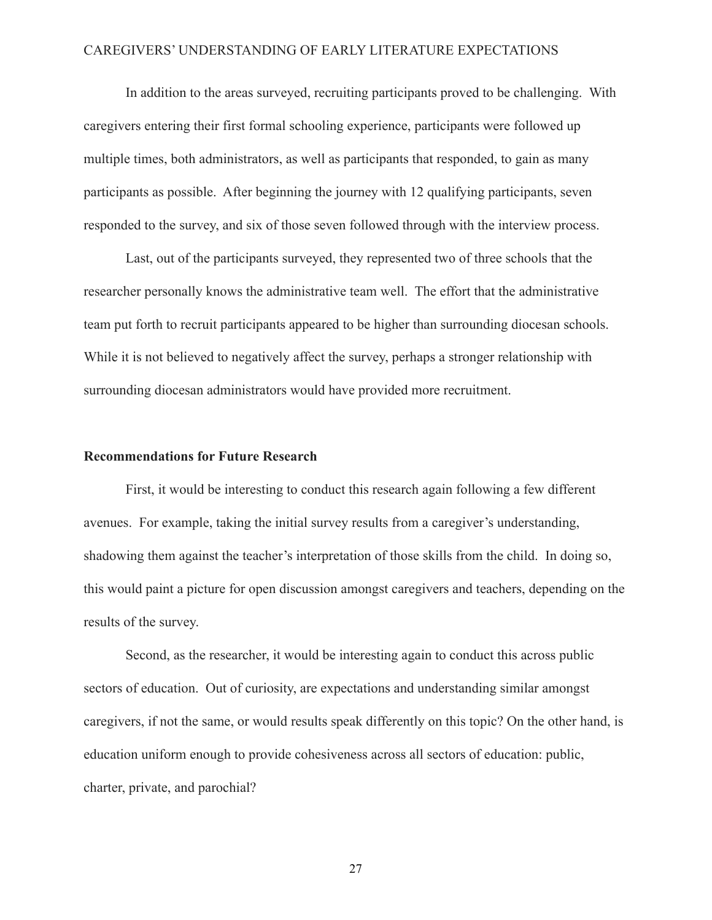In addition to the areas surveyed, recruiting participants proved to be challenging. With caregivers entering their first formal schooling experience, participants were followed up multiple times, both administrators, as well as participants that responded, to gain as many participants as possible. After beginning the journey with 12 qualifying participants, seven responded to the survey, and six of those seven followed through with the interview process.

Last, out of the participants surveyed, they represented two of three schools that the researcher personally knows the administrative team well. The effort that the administrative team put forth to recruit participants appeared to be higher than surrounding diocesan schools. While it is not believed to negatively affect the survey, perhaps a stronger relationship with surrounding diocesan administrators would have provided more recruitment.

## **Recommendations for Future Research**

First, it would be interesting to conduct this research again following a few different avenues. For example, taking the initial survey results from a caregiver's understanding, shadowing them against the teacher's interpretation of those skills from the child. In doing so, this would paint a picture for open discussion amongst caregivers and teachers, depending on the results of the survey.

Second, as the researcher, it would be interesting again to conduct this across public sectors of education. Out of curiosity, are expectations and understanding similar amongst caregivers, if not the same, or would results speak differently on this topic? On the other hand, is education uniform enough to provide cohesiveness across all sectors of education: public, charter, private, and parochial?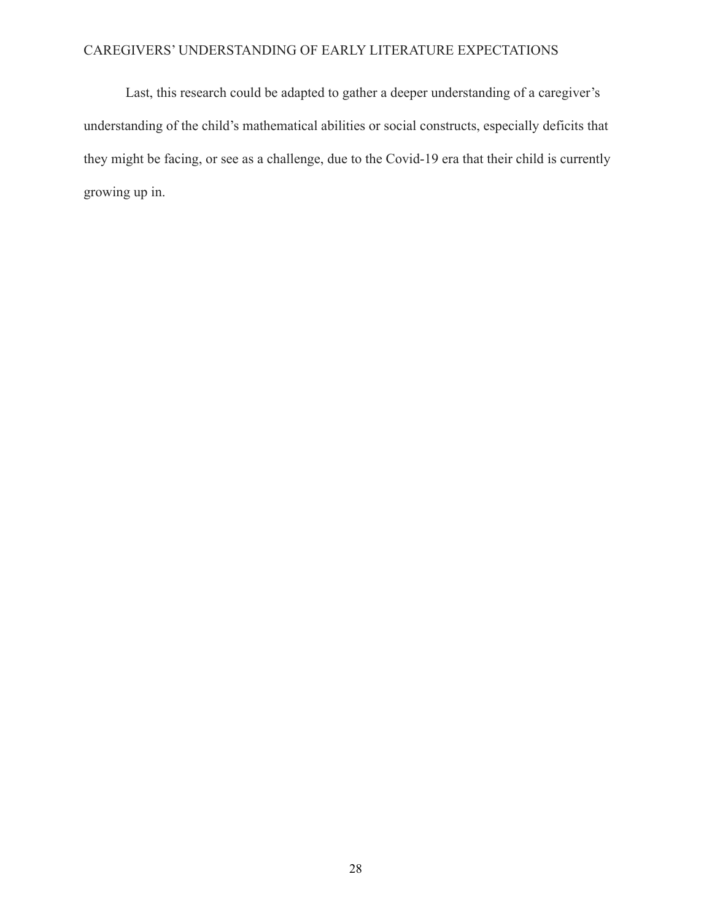Last, this research could be adapted to gather a deeper understanding of a caregiver's understanding of the child's mathematical abilities or social constructs, especially deficits that they might be facing, or see as a challenge, due to the Covid-19 era that their child is currently growing up in.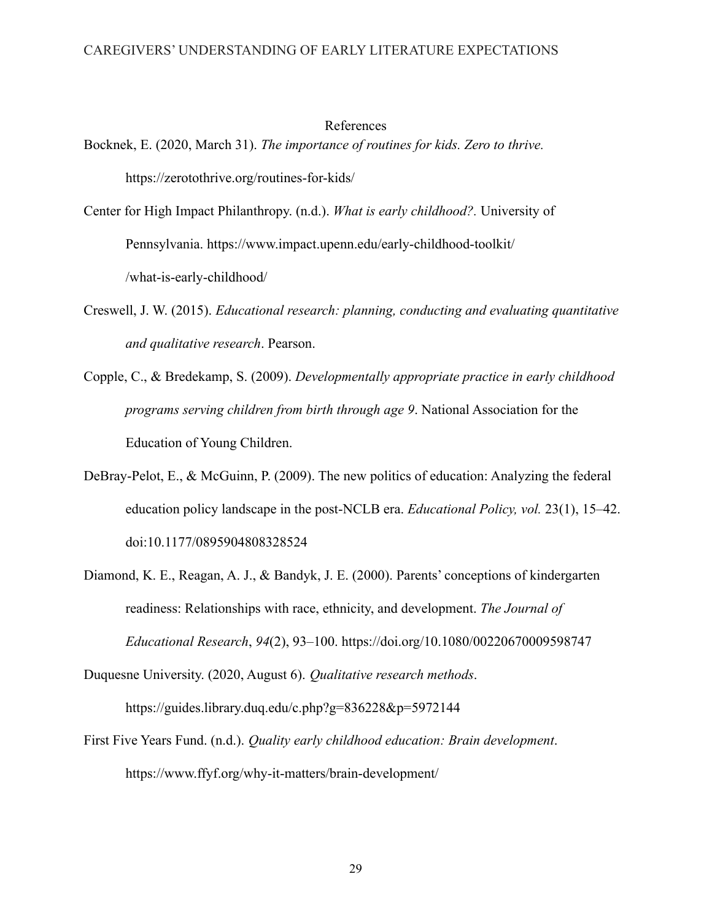#### References

Bocknek, E. (2020, March 31). *The importance of routines for kids. Zero to thrive.* https://zerotothrive.org/routines-for-kids/

- Center for High Impact Philanthropy. (n.d.). *What is early childhood?.* University of Pennsylvania. https://www.impact.upenn.edu/early-childhood-toolkit/ /what-is-early-childhood/
- Creswell, J. W. (2015). *Educational research: planning, conducting and evaluating quantitative and qualitative research*. Pearson.
- Copple, C., & Bredekamp, S. (2009). *Developmentally appropriate practice in early childhood programs serving children from birth through age 9*. National Association for the Education of Young Children.
- DeBray-Pelot, E., & McGuinn, P. (2009). The new politics of education: Analyzing the federal education policy landscape in the post-NCLB era. *Educational Policy, vol.* 23(1), 15–42. doi:10.1177/0895904808328524
- Diamond, K. E., Reagan, A. J., & Bandyk, J. E. (2000). Parents' conceptions of kindergarten readiness: Relationships with race, ethnicity, and development. *The Journal of Educational Research*, *94*(2), 93–100. https://doi.org/10.1080/00220670009598747

Duquesne University. (2020, August 6). *Qualitative research methods*. https://guides.library.duq.edu/c.php?g=836228&p=5972144

First Five Years Fund. (n.d.). *Quality early childhood education: Brain development*. https://www.ffyf.org/why-it-matters/brain-development/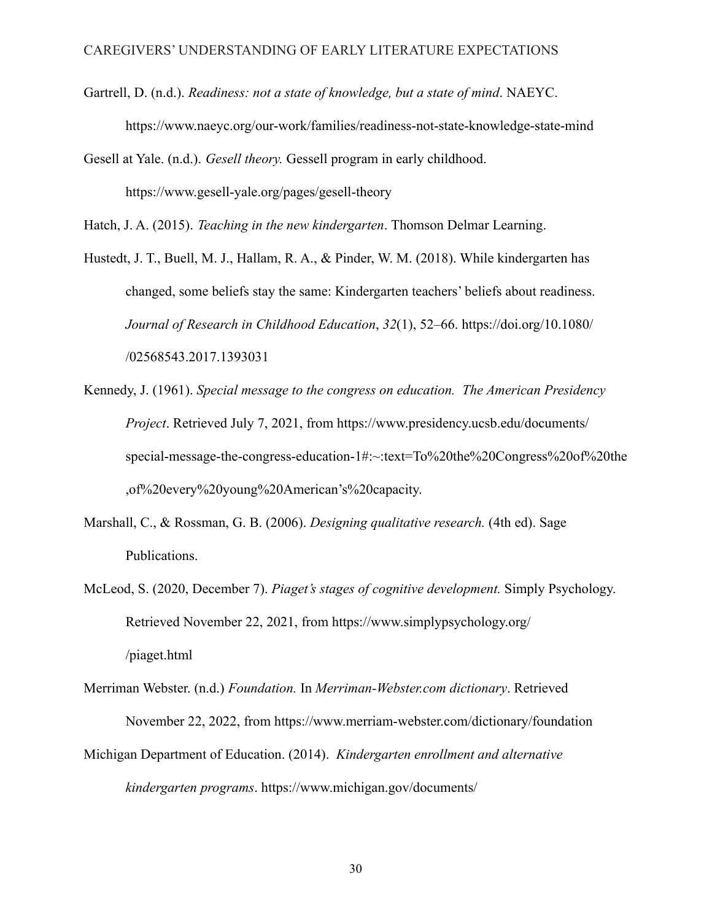- Gartrell, D. (n.d.). *Readiness: not a state of knowledge, but a state of mind*. NAEYC. https://www.naeyc.org/our-work/families/readiness-not-state-knowledge-state-mind
- Gesell at Yale. (n.d.). *Gesell theory.* Gessell program in early childhood. https://www.gesell-yale.org/pages/gesell-theory

Hatch, J. A. (2015). *Teaching in the new kindergarten*. Thomson Delmar Learning.

- Hustedt, J. T., Buell, M. J., Hallam, R. A., & Pinder, W. M. (2018). While kindergarten has changed, some beliefs stay the same: Kindergarten teachers' beliefs about readiness. *Journal of Research in Childhood Education*, *32*(1), 52–66. https://doi.org/10.1080/ /02568543.2017.1393031
- Kennedy, J. (1961). *Special message to the congress on education. The American Presidency Project*. Retrieved July 7, 2021, from https://www.presidency.ucsb.edu/documents/ special-message-the-congress-education-1#:~:text=To%20the%20Congress%20of%20the ,of%20every%20young%20American's%20capacity.
- Marshall, C., & Rossman, G. B. (2006). *Designing qualitative research.* (4th ed). Sage Publications.
- McLeod, S. (2020, December 7). *Piaget's stages of cognitive development.* Simply Psychology. Retrieved November 22, 2021, from https://www.simplypsychology.org/ /piaget.html
- Merriman Webster. (n.d.) *Foundation.* In *Merriman-Webster.com dictionary*. Retrieved November 22, 2022, from https://www.merriam-webster.com/dictionary/foundation Michigan Department of Education. (2014). *Kindergarten enrollment and alternative kindergarten programs*. https://www.michigan.gov/documents/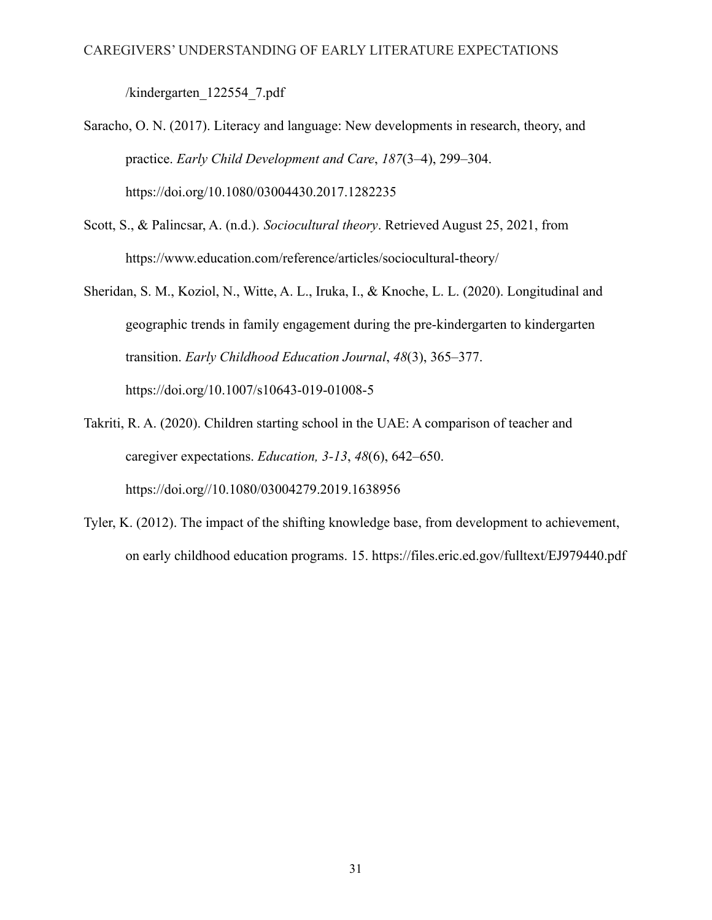/kindergarten\_122554\_7.pdf

- Saracho, O. N. (2017). Literacy and language: New developments in research, theory, and practice. *Early Child Development and Care*, *187*(3–4), 299–304. https://doi.org/10.1080/03004430.2017.1282235
- Scott, S., & Palincsar, A. (n.d.). *Sociocultural theory*. Retrieved August 25, 2021, from https://www.education.com/reference/articles/sociocultural-theory/
- Sheridan, S. M., Koziol, N., Witte, A. L., Iruka, I., & Knoche, L. L. (2020). Longitudinal and geographic trends in family engagement during the pre-kindergarten to kindergarten transition. *Early Childhood Education Journal*, *48*(3), 365–377. https://doi.org/10.1007/s10643-019-01008-5
- Takriti, R. A. (2020). Children starting school in the UAE: A comparison of teacher and caregiver expectations. *Education, 3-13*, *48*(6), 642–650. https://doi.org//10.1080/03004279.2019.1638956
- Tyler, K. (2012). The impact of the shifting knowledge base, from development to achievement, on early childhood education programs. 15. https://files.eric.ed.gov/fulltext/EJ979440.pdf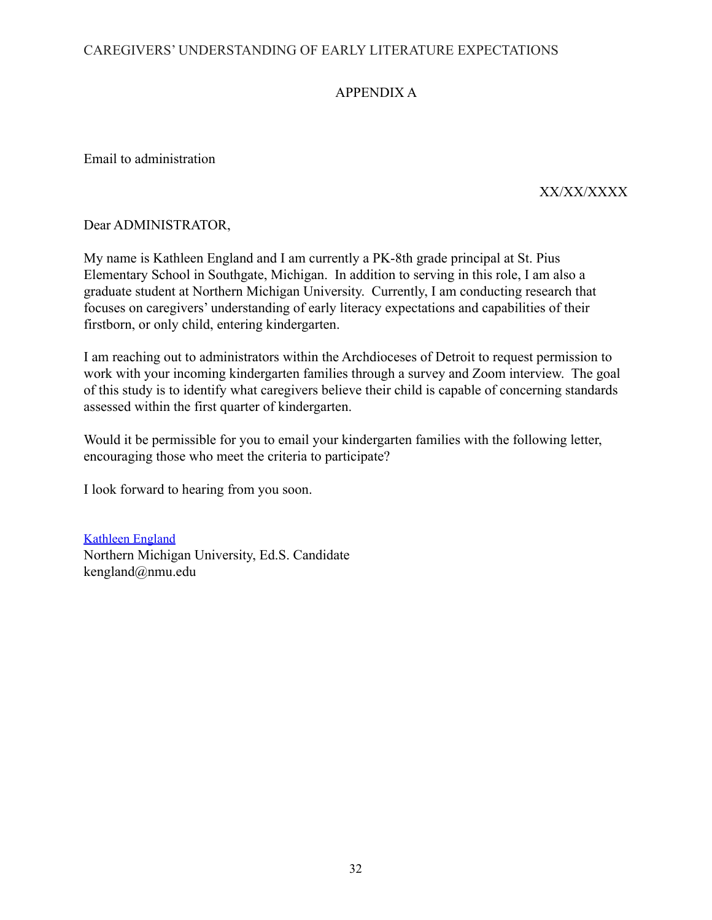# APPENDIX A

Email to administration

# XX/XX/XXXX

Dear ADMINISTRATOR,

My name is Kathleen England and I am currently a PK-8th grade principal at St. Pius Elementary School in Southgate, Michigan. In addition to serving in this role, I am also a graduate student at Northern Michigan University. Currently, I am conducting research that focuses on caregivers' understanding of early literacy expectations and capabilities of their firstborn, or only child, entering kindergarten.

I am reaching out to administrators within the Archdioceses of Detroit to request permission to work with your incoming kindergarten families through a survey and Zoom interview. The goal of this study is to identify what caregivers believe their child is capable of concerning standards assessed within the first quarter of kindergarten.

Would it be permissible for you to email your kindergarten families with the following letter, encouraging those who meet the criteria to participate?

I look forward to hearing from you soon.

[Kathleen](mailto:kengland@nmu.edu) England Northern Michigan University, Ed.S. Candidate kengland@nmu.edu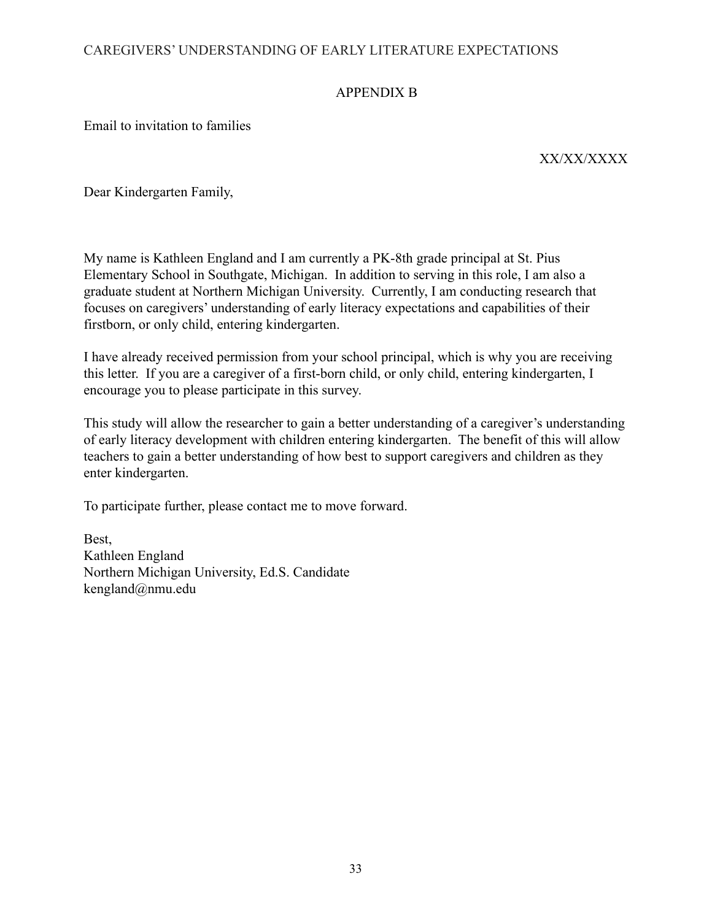# APPENDIX B

Email to invitation to families

XX/XX/XXXX

Dear Kindergarten Family,

My name is Kathleen England and I am currently a PK-8th grade principal at St. Pius Elementary School in Southgate, Michigan. In addition to serving in this role, I am also a graduate student at Northern Michigan University. Currently, I am conducting research that focuses on caregivers' understanding of early literacy expectations and capabilities of their firstborn, or only child, entering kindergarten.

I have already received permission from your school principal, which is why you are receiving this letter. If you are a caregiver of a first-born child, or only child, entering kindergarten, I encourage you to please participate in this survey.

This study will allow the researcher to gain a better understanding of a caregiver's understanding of early literacy development with children entering kindergarten. The benefit of this will allow teachers to gain a better understanding of how best to support caregivers and children as they enter kindergarten.

To participate further, please contact me to move forward.

Best, Kathleen England Northern Michigan University, Ed.S. Candidate kengland@nmu.edu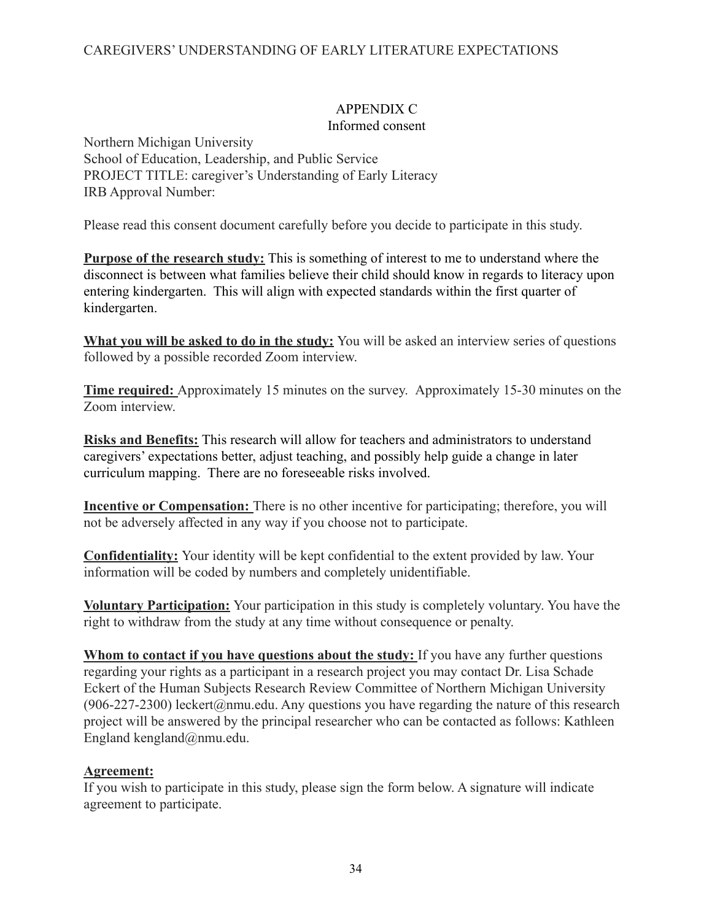# APPENDIX C

## Informed consent

Northern Michigan University School of Education, Leadership, and Public Service PROJECT TITLE: caregiver's Understanding of Early Literacy IRB Approval Number:

Please read this consent document carefully before you decide to participate in this study.

**Purpose of the research study:** This is something of interest to me to understand where the disconnect is between what families believe their child should know in regards to literacy upon entering kindergarten. This will align with expected standards within the first quarter of kindergarten.

**What you will be asked to do in the study:** You will be asked an interview series of questions followed by a possible recorded Zoom interview.

**Time required:** Approximately 15 minutes on the survey. Approximately 15-30 minutes on the Zoom interview.

**Risks and Benefits:** This research will allow for teachers and administrators to understand caregivers' expectations better, adjust teaching, and possibly help guide a change in later curriculum mapping. There are no foreseeable risks involved.

**Incentive or Compensation:** There is no other incentive for participating; therefore, you will not be adversely affected in any way if you choose not to participate.

**Confidentiality:** Your identity will be kept confidential to the extent provided by law. Your information will be coded by numbers and completely unidentifiable.

**Voluntary Participation:** Your participation in this study is completely voluntary. You have the right to withdraw from the study at any time without consequence or penalty.

**Whom to contact if you have questions about the study:** If you have any further questions regarding your rights as a participant in a research project you may contact Dr. Lisa Schade Eckert of the Human Subjects Research Review Committee of Northern Michigan University (906-227-2300) leckert@nmu.edu. Any questions you have regarding the nature of this research project will be answered by the principal researcher who can be contacted as follows: Kathleen England kengland@nmu.edu.

# **Agreement:**

If you wish to participate in this study, please sign the form below. A signature will indicate agreement to participate.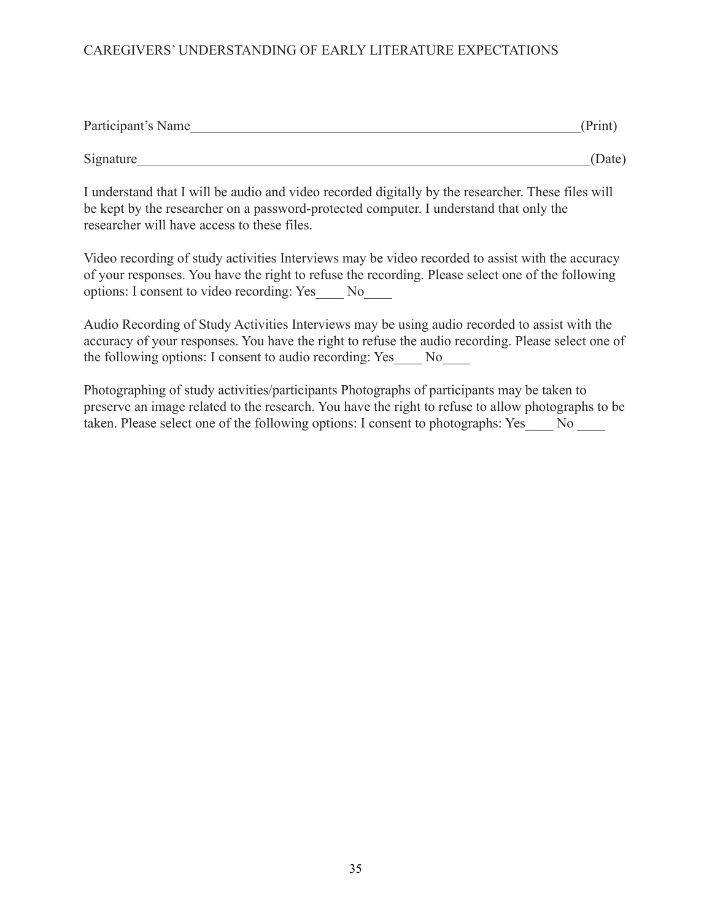| Participant's Name | (Print) |
|--------------------|---------|
| Signature          | (Date)  |
| .                  |         |

I understand that I will be audio and video recorded digitally by the researcher. These files will be kept by the researcher on a password-protected computer. I understand that only the researcher will have access to these files.

Video recording of study activities Interviews may be video recorded to assist with the accuracy of your responses. You have the right to refuse the recording. Please select one of the following options: I consent to video recording: Yes\_\_\_\_ No\_\_\_\_

Audio Recording of Study Activities Interviews may be using audio recorded to assist with the accuracy of your responses. You have the right to refuse the audio recording. Please select one of the following options: I consent to audio recording: Yes No

Photographing of study activities/participants Photographs of participants may be taken to preserve an image related to the research. You have the right to refuse to allow photographs to be taken. Please select one of the following options: I consent to photographs: Yes No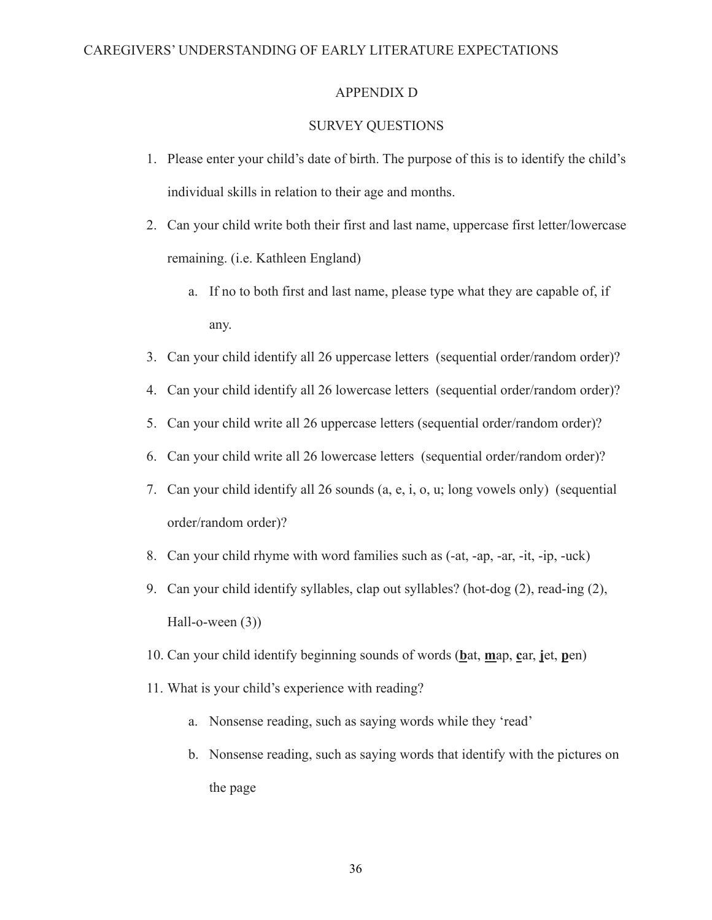## APPENDIX D

#### SURVEY QUESTIONS

- 1. Please enter your child's date of birth. The purpose of this is to identify the child's individual skills in relation to their age and months.
- 2. Can your child write both their first and last name, uppercase first letter/lowercase remaining. (i.e. Kathleen England)
	- a. If no to both first and last name, please type what they are capable of, if any.
- 3. Can your child identify all 26 uppercase letters (sequential order/random order)?
- 4. Can your child identify all 26 lowercase letters (sequential order/random order)?
- 5. Can your child write all 26 uppercase letters (sequential order/random order)?
- 6. Can your child write all 26 lowercase letters (sequential order/random order)?
- 7. Can your child identify all 26 sounds (a, e, i, o, u; long vowels only) (sequential order/random order)?
- 8. Can your child rhyme with word families such as (-at, -ap, -ar, -it, -ip, -uck)
- 9. Can your child identify syllables, clap out syllables? (hot-dog (2), read-ing (2), Hall-o-ween (3))
- 10. Can your child identify beginning sounds of words (**b**at, **m**ap, **c**ar, **j**et, **p**en)
- 11. What is your child's experience with reading?
	- a. Nonsense reading, such as saying words while they 'read'
	- b. Nonsense reading, such as saying words that identify with the pictures on the page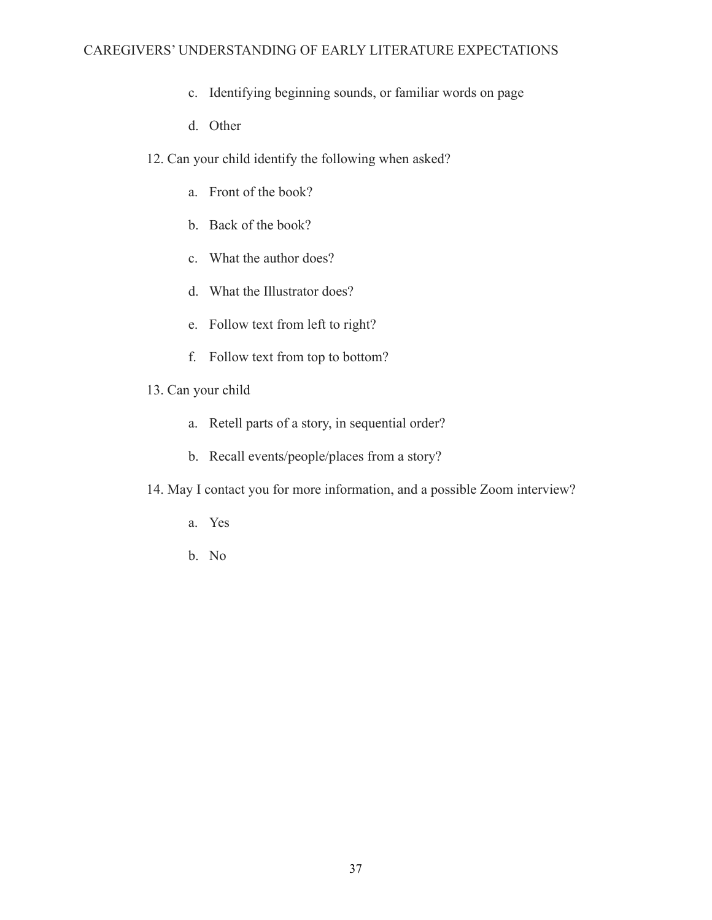- c. Identifying beginning sounds, or familiar words on page
- d. Other
- 12. Can your child identify the following when asked?
	- a. Front of the book?
	- b. Back of the book?
	- c. What the author does?
	- d. What the Illustrator does?
	- e. Follow text from left to right?
	- f. Follow text from top to bottom?
- 13. Can your child
	- a. Retell parts of a story, in sequential order?
	- b. Recall events/people/places from a story?
- 14. May I contact you for more information, and a possible Zoom interview?
	- a. Yes
	- b. No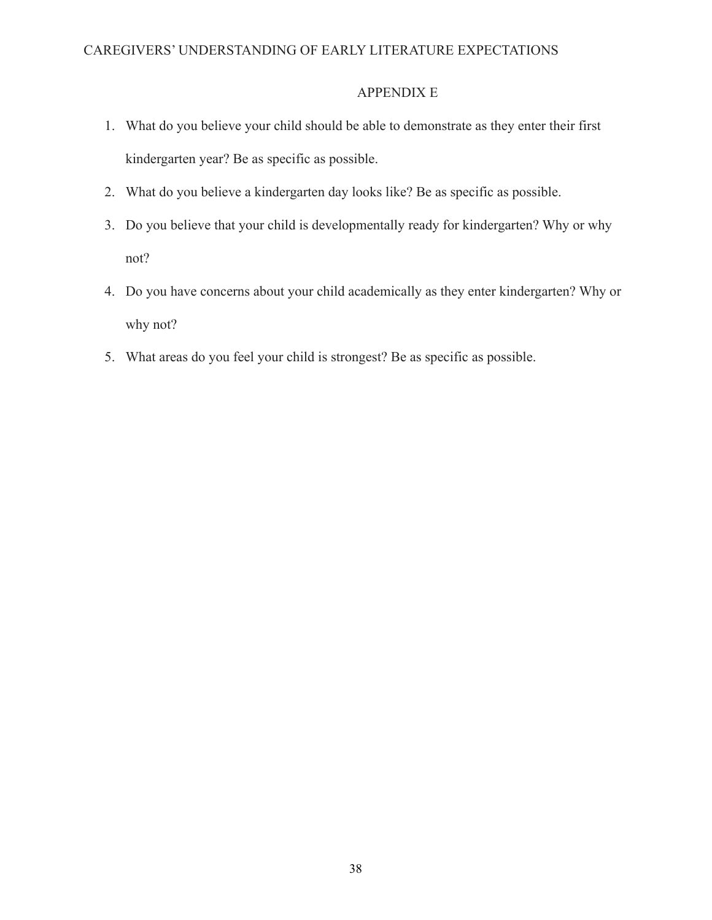# APPENDIX E

- 1. What do you believe your child should be able to demonstrate as they enter their first kindergarten year? Be as specific as possible.
- 2. What do you believe a kindergarten day looks like? Be as specific as possible.
- 3. Do you believe that your child is developmentally ready for kindergarten? Why or why not?
- 4. Do you have concerns about your child academically as they enter kindergarten? Why or why not?
- 5. What areas do you feel your child is strongest? Be as specific as possible.